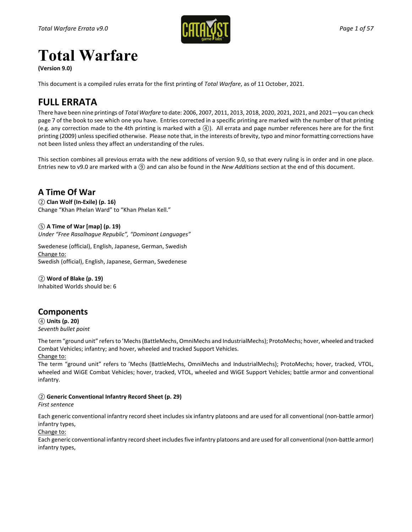

# **Total Warfare**

**(Version 9.0)** 

This document is a compiled rules errata for the first printing of *Total Warfare*, as of 11 October, 2021.

## **FULL ERRATA**

There have been nine printings of *Total Warfare* to date: 2006, 2007, 2011, 2013, 2018, 2020, 2021, 2021, and 2021—you can check page 7 of the book to see which one you have. Entries corrected in a specific printing are marked with the number of that printing (e.g. any correction made to the 4th printing is marked with a *④*). All errata and page number references here are for the first printing (2009) unless specified otherwise. Please note that, in the interests of brevity, typo and minor formatting corrections have not been listed unless they affect an understanding of the rules.

This section combines all previous errata with the new additions of version 9.0, so that every ruling is in order and in one place. Entries new to v9.0 are marked with a *⑨* and can also be found in the *New Additions* section at the end of this document.

## **A Time Of War**

*②* **Clan Wolf (In-Exile) (p. 16)** Change "Khan Phelan Ward" to "Khan Phelan Kell."

*⑤* **A Time of War [map] (p. 19)** *Under "Free Rasalhague Republic", "Dominant Languages"*

Swedenese (official), English, Japanese, German, Swedish Change to: Swedish (official), English, Japanese, German, Swedenese

*②* **Word of Blake (p. 19)** Inhabited Worlds should be: 6

## **Components**

*④* **Units (p. 20)** *Seventh bullet point*

The term "ground unit" refers to 'Mechs (BattleMechs, OmniMechs and IndustrialMechs); ProtoMechs; hover, wheeled and tracked Combat Vehicles; infantry; and hover, wheeled and tracked Support Vehicles.

Change to:

The term "ground unit" refers to 'Mechs (BattleMechs, OmniMechs and IndustrialMechs); ProtoMechs; hover, tracked, VTOL, wheeled and WiGE Combat Vehicles; hover, tracked, VTOL, wheeled and WiGE Support Vehicles; battle armor and conventional infantry.

### *②* **Generic Conventional Infantry Record Sheet (p. 29)**

*First sentence*

Each generic conventional infantry record sheet includes six infantry platoons and are used for all conventional (non-battle armor) infantry types,

Change to:

Each generic conventional infantry record sheet includes five infantry platoons and are used for all conventional (non-battle armor) infantry types,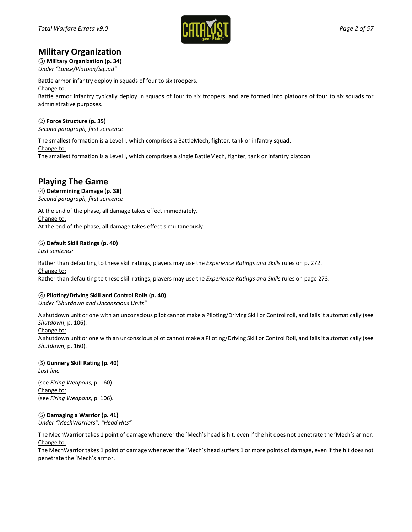

## **Military Organization**

### *③* **Military Organization (p. 34)**

*Under "Lance/Platoon/Squad"*

Battle armor infantry deploy in squads of four to six troopers.

Change to:

Battle armor infantry typically deploy in squads of four to six troopers, and are formed into platoons of four to six squads for administrative purposes.

### *②* **Force Structure (p. 35)**

*Second paragraph, first sentence*

The smallest formation is a Level I, which comprises a BattleMech, fighter, tank or infantry squad. Change to: The smallest formation is a Level I, which comprises a single BattleMech, fighter, tank or infantry platoon.

## **Playing The Game**

## *④* **Determining Damage (p. 38)**

*Second paragraph, first sentence*

At the end of the phase, all damage takes effect immediately. Change to: At the end of the phase, all damage takes effect simultaneously.

### *⑤* **Default Skill Ratings (p. 40)**

*Last sentence*

Rather than defaulting to these skill ratings, players may use the *Experience Ratings and Skills* rules on p. 272. Change to:

Rather than defaulting to these skill ratings, players may use the *Experience Ratings and Skills* rules on page 273.

### *④* **Piloting/Driving Skill and Control Rolls (p. 40)**

*Under "Shutdown and Unconscious Units"*

A shutdown unit or one with an unconscious pilot cannot make a Piloting/Driving Skill or Control roll, and fails it automatically (see *Shutdown*, p. 106).

#### Change to:

A shutdown unit or one with an unconscious pilot cannot make a Piloting/Driving Skill or Control Roll, and fails it automatically (see *Shutdown*, p. 160).

*⑤* **Gunnery Skill Rating (p. 40)** *Last line*

(see *Firing Weapons*, p. 160). Change to: (see *Firing Weapons*, p. 106).

### *⑤* **Damaging a Warrior (p. 41)**

*Under "MechWarriors", "Head Hits"*

The MechWarrior takes 1 point of damage whenever the 'Mech's head is hit, even if the hit does not penetrate the 'Mech's armor. Change to:

The MechWarrior takes 1 point of damage whenever the 'Mech's head suffers 1 or more points of damage, even if the hit does not penetrate the 'Mech's armor.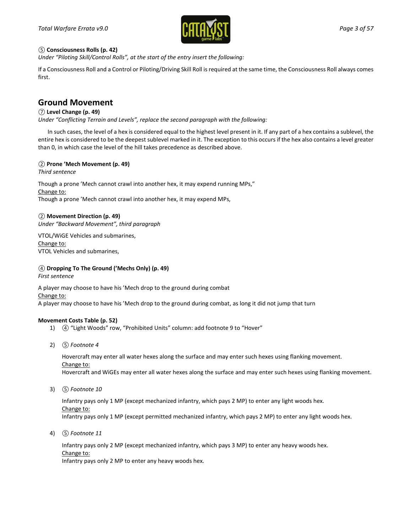

### *⑤* **Consciousness Rolls (p. 42)**

*Under "Piloting Skill/Control Rolls", at the start of the entry insert the following:*

If a Consciousness Roll and a Control or Piloting/Driving Skill Roll is required at the same time, the Consciousness Roll always comes first.

## **Ground Movement**

### *⑦* **Level Change (p. 49)**

*Under "Conflicting Terrain and Levels", replace the second paragraph with the following:*

In such cases, the level of a hex is considered equal to the highest level present in it. If any part of a hex contains a sublevel, the entire hex is considered to be the deepest sublevel marked in it. The exception to this occurs if the hex also contains a level greater than 0, in which case the level of the hill takes precedence as described above.

### *②* **Prone 'Mech Movement (p. 49)**

*Third sentence*

Though a prone 'Mech cannot crawl into another hex, it may expend running MPs," Change to: Though a prone 'Mech cannot crawl into another hex, it may expend MPs,

### *②* **Movement Direction (p. 49)**

*Under "Backward Movement", third paragraph*

VTOL/WiGE Vehicles and submarines, Change to: VTOL Vehicles and submarines,

### *④* **Dropping To The Ground ('Mechs Only) (p. 49)**

*First sentence*

A player may choose to have his 'Mech drop to the ground during combat Change to: A player may choose to have his 'Mech drop to the ground during combat, as long it did not jump that turn

#### **Movement Costs Table (p. 52)**

- 1) *④* "Light Woods" row, "Prohibited Units" column: add footnote 9 to "Hover"
- 2) *⑤ Footnote 4*

Hovercraft may enter all water hexes along the surface and may enter such hexes using flanking movement. Change to: Hovercraft and WiGEs may enter all water hexes along the surface and may enter such hexes using flanking movement.

3) *⑤ Footnote 10* 

Infantry pays only 1 MP (except mechanized infantry, which pays 2 MP) to enter any light woods hex. Change to: Infantry pays only 1 MP (except permitted mechanized infantry, which pays 2 MP) to enter any light woods hex.

4) *⑤ Footnote 11*

Infantry pays only 2 MP (except mechanized infantry, which pays 3 MP) to enter any heavy woods hex. Change to:

Infantry pays only 2 MP to enter any heavy woods hex.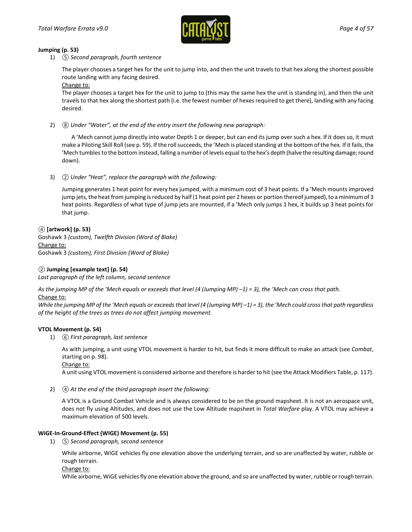

#### **Jumping (p. 53)**

1) *⑤ Second paragraph, fourth sentence*

The player chooses a target hex for the unit to jump into, and then the unit travels to that hex along the shortest possible route landing with any facing desired.

Change to:

The player chooses a target hex for the unit to jump to (this may the same hex the unit is standing in), and then the unit travels to that hex along the shortest path (i.e. the fewest number of hexes required to get there), landing with any facing desired.

2) *⑧ Under "Water", at the end of the entry insert the following new paragraph:*

A 'Mech cannot jump directly into water Depth 1 or deeper, but can end its jump over such a hex. If it does so, it must make a Piloting Skill Roll (see p. 59). If the roll succeeds, the 'Mech is placed standing at the bottom of the hex. If it fails, the 'Mech tumbles to the bottom instead, falling a number of levels equal to the hex's depth (halve the resulting damage; round down).

3) *② Under "Heat", replace the paragraph with the following:*

Jumping generates 1 heat point for every hex jumped, with a minimum cost of 3 heat points. If a 'Mech mounts improved jump jets, the heat from jumping is reduced by half (1 heat point per 2 hexes or portion thereof jumped), to a minimum of 3 heat points. Regardless of what type of jump jets are mounted, if a 'Mech only jumps 1 hex, it builds up 3 heat points for that jump.

*④* **[artwork] (p. 53)** Goshawk 3 *(custom), Twelfth Division (Word of Blake)* Change to: Goshawk 3 *(custom), First Division (Word of Blake)*

### *②* **Jumping [example text] (p. 54)**

*Last paragraph of the left column, second sentence*

*As the jumping MP of the 'Mech equals or exceeds that level (4 (Jumping MP) –1) = 3), the 'Mech can cross that path.* Change to:

*While the jumping MP of the 'Mech equals or exceeds that level (4 (Jumping MP) –1) = 3), the 'Mech could cross that path regardless of the height of the trees as trees do not affect jumping movement.*

### **VTOL Movement (p. 54)**

1) *⑥ First paragraph, last sentence*

As with jumping, a unit using VTOL movement is harder to hit, but finds it more difficult to make an attack (see *Combat*, starting on p. 98).

Change to:

A unit using VTOL movement is considered airborne and therefore is harder to hit (see the Attack Modifiers Table, p. 117).

2) *④ At the end of the third paragraph insert the following:*

A VTOL is a Ground Combat Vehicle and is always considered to be on the ground mapsheet. It is not an aerospace unit, does not fly using Altitudes, and does not use the Low Altitude mapsheet in *Total Warfare* play. A VTOL may achieve a maximum elevation of 500 levels.

#### **WiGE-In-Ground-Effect (WIGE) Movement (p. 55)**

1) *⑤ Second paragraph, second sentence*

While airborne, WiGE vehicles fly one elevation above the underlying terrain, and so are unaffected by water, rubble or rough terrain.

#### Change to:

While airborne, WiGE vehicles fly one elevation above the ground, and so are unaffected by water, rubble or rough terrain.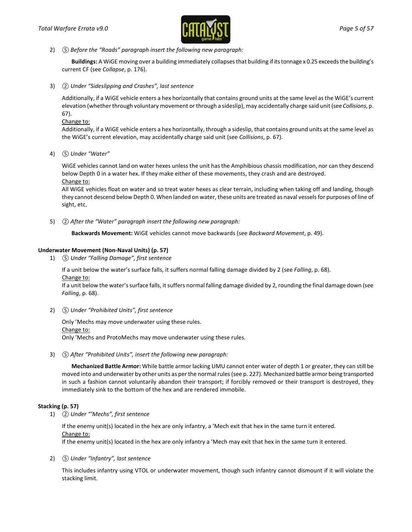

2) *⑤ Before the "Roads" paragraph insert the following new paragraph:*

**Buildings:** A WiGE moving over a building immediately collapses that building if its tonnage x 0.25 exceeds the building's current CF (see *Collapse*, p. 176).

3) *② Under "Sideslipping and Crashes", last sentence*

Additionally, if a WiGE vehicle enters a hex horizontally that contains ground units at the same level as the WiGE's current elevation (whether through voluntary movement or through a sideslip), may accidentally charge said unit(see *Collisions*, p. 67).

Change to:

Additionally, if a WiGE vehicle enters a hex horizontally, through a sideslip, that contains ground units at the same level as the WiGE's current elevation, may accidentally charge said unit (see *Collisions*, p. 67).

4) *⑤ Under "Water"*

WiGE vehicles cannot land on water hexes unless the unit has the Amphibious chassis modification, nor can they descend below Depth 0 in a water hex. If they make either of these movements, they crash and are destroyed. Change to:

All WiGE vehicles float on water and so treat water hexes as clear terrain, including when taking off and landing, though they cannot descend below Depth 0. When landed on water, these units are treated as naval vessels for purposes of line of sight, etc.

5) *② After the "Water" paragraph insert the following new paragraph:* 

**Backwards Movement:** WiGE vehicles cannot move backwards (see *Backward Movement*, p. 49).

### **Underwater Movement (Non-Naval Units) (p. 57)**

1) *⑤ Under "Falling Damage", first sentence*

If a unit below the water's surface falls, it suffers normal falling damage divided by 2 (see *Falling*, p. 68). Change to:

If a unit below the water's surface falls, it suffers normal falling damage divided by 2, rounding the final damage down (see *Falling*, p. 68).

2) *⑤ Under "Prohibited Units", first sentence*

Only 'Mechs may move underwater using these rules. Change to: Only 'Mechs and ProtoMechs may move underwater using these rules.

3) *⑤ After "Prohibited Units", insert the following new paragraph:* 

**Mechanized Battle Armor:** While battle armor lacking UMU cannot enter water of depth 1 or greater, they can still be moved into and underwater by other units as per the normal rules (see p. 227). Mechanized battle armor being transported in such a fashion cannot voluntarily abandon their transport; if forcibly removed or their transport is destroyed, they immediately sink to the bottom of the hex and are rendered immobile.

### **Stacking (p. 57)**

1) *② Under "'Mechs", first sentence*

If the enemy unit(s) located in the hex are only infantry, a 'Mech exit that hex in the same turn it entered. Change to:

If the enemy unit(s) located in the hex are only infantry a 'Mech may exit that hex in the same turn it entered.

2) *⑤ Under "Infantry", last sentence*

This includes infantry using VTOL or underwater movement, though such infantry cannot dismount if it will violate the stacking limit.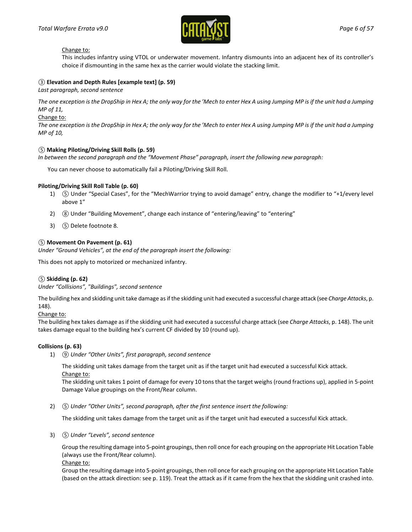

#### Change to:

This includes infantry using VTOL or underwater movement. Infantry dismounts into an adjacent hex of its controller's choice if dismounting in the same hex as the carrier would violate the stacking limit.

#### *③* **Elevation and Depth Rules [example text] (p. 59)**

*Last paragraph, second sentence*

*The one exception is the DropShip in Hex A; the only way for the 'Mech to enter Hex A using Jumping MP is if the unit had a Jumping MP of 11,*

Change to:

*The one exception is the DropShip in Hex A; the only way for the 'Mech to enter Hex A using Jumping MP is if the unit had a Jumping MP of 10,*

#### *⑤* **Making Piloting/Driving Skill Rolls (p. 59)**

*In between the second paragraph and the "Movement Phase" paragraph, insert the following new paragraph:*

You can never choose to automatically fail a Piloting/Driving Skill Roll.

#### **Piloting/Driving Skill Roll Table (p. 60)**

- 1) **(5)** Under "Special Cases", for the "MechWarrior trying to avoid damage" entry, change the modifier to "+1/every level above 1"
- 2) <sup>(3)</sup> Under "Building Movement", change each instance of "entering/leaving" to "entering"
- 3) *⑤* Delete footnote 8.

#### *⑤* **Movement On Pavement (p. 61)**

*Under "Ground Vehicles", at the end of the paragraph insert the following:*

This does not apply to motorized or mechanized infantry.

#### *⑤* **Skidding (p. 62)**

*Under "Collisions", "Buildings", second sentence*

The building hex and skidding unit take damage as if the skidding unit had executed a successful charge attack (see *Charge Attacks*, p. 148).

Change to:

The building hex takes damage as if the skidding unit had executed a successful charge attack (see *Charge Attacks*, p. 148). The unit takes damage equal to the building hex's current CF divided by 10 (round up).

#### **Collisions (p. 63)**

1) *⑨ Under "Other Units", first paragraph, second sentence*

The skidding unit takes damage from the target unit as if the target unit had executed a successful Kick attack. Change to:

The skidding unit takes 1 point of damage for every 10 tons that the target weighs (round fractions up), applied in 5-point Damage Value groupings on the Front/Rear column.

2) *⑤ Under "Other Units", second paragraph, after the first sentence insert the following:*

The skidding unit takes damage from the target unit as if the target unit had executed a successful Kick attack.

3) *⑤ Under "Levels", second sentence*

Group the resulting damage into 5-point groupings, then roll once for each grouping on the appropriate Hit Location Table (always use the Front/Rear column).

Change to:

Group the resulting damage into 5-point groupings, then roll once for each grouping on the appropriate Hit Location Table (based on the attack direction: see p. 119). Treat the attack as if it came from the hex that the skidding unit crashed into.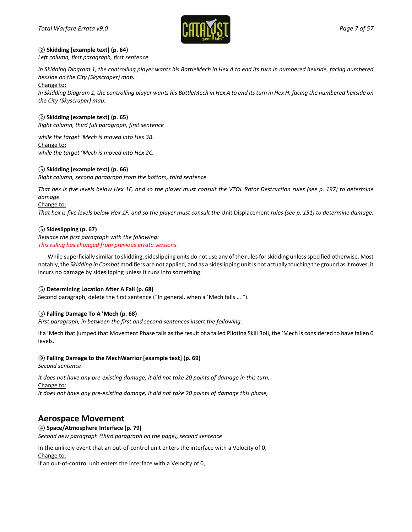

### *②* **Skidding [example text] (p. 64)**

*Left column, first paragraph, first sentence*

*In Skidding Diagram 1, the controlling player wants his BattleMech in Hex A to end its turn in numbered hexside, facing numbered hexside on the City (Skyscraper) map.*

Change to:

In Skidding Diagram 1, the controlling player wants his BattleMech in Hex A to end its turn in Hex H, facing the numbered hexside on *the City (Skyscraper) map.*

### *②* **Skidding [example text] (p. 65)**

*Right column, third full paragraph, first sentence*

*while the target 'Mech is moved into Hex 3B.*

Change to:

*while the target 'Mech is moved into Hex 2C.*

### *⑤* **Skidding [example text] (p. 66)**

*Right column, second paragraph from the bottom, third sentence*

*That hex is five levels below Hex 1F, and so the player must consult the VTOL Rotor Destruction rules (see p. 197) to determine damage.*

Change to:

*That hex is five levels below Hex 1F, and so the player must consult the Unit Displacement rules (see p. 151) to determine damage.* 

### *⑤* **Sideslipping (p. 67)**

*Replace the first paragraph with the following: This ruling has changed from previous errata versions.*

While superficially similar to skidding, sideslipping units do not use any of the rules for skidding unless specified otherwise. Most notably, the *Skidding in Combat*modifiers are not applied, and as a sideslipping unit is not actually touching the ground as it moves, it incurs no damage by sideslipping unless it runs into something.

#### *⑤* **Determining Location After A Fall (p. 68)**

Second paragraph, delete the first sentence ("In general, when a 'Mech falls … ").

### *⑤* **Falling Damage To A 'Mech (p. 68)**

*First paragraph, in between the first and second sentences insert the following:*

If a 'Mech that jumped that Movement Phase falls as the result of a failed Piloting Skill Roll, the 'Mech is considered to have fallen 0 levels.

#### *⑨* **Falling Damage to the MechWarrior [example text] (p. 69)**

*Second sentence*

*It does not have any pre-existing damage, it did not take 20 points of damage in this turn,* Change to:

*It does not have any pre-existing damage, it did not take 20 points of damage this phase,* 

## **Aerospace Movement**

*④* **Space/Atmosphere Interface (p. 79)**

*Second new paragraph (third paragraph on the page), second sentence*

In the unlikely event that an out-of-control unit enters the interface with a Velocity of 0, Change to:

If an out-of-control unit enters the interface with a Velocity of 0,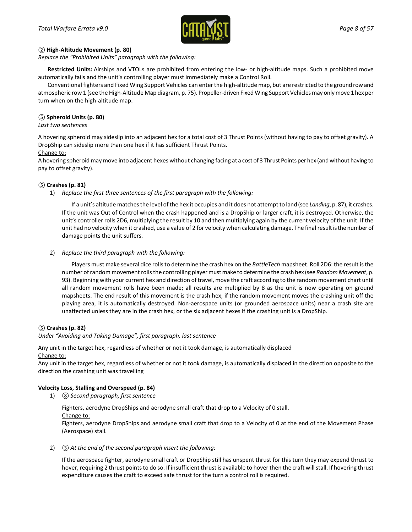

#### *②* **High-Altitude Movement (p. 80)**

*Replace the "Prohibited Units" paragraph with the following:*

**Restricted Units:** Airships and VTOLs are prohibited from entering the low- or high-altitude maps. Such a prohibited move automatically fails and the unit's controlling player must immediately make a Control Roll.

Conventional fighters and Fixed Wing Support Vehicles can enter the high-altitude map, but are restricted to the ground row and atmospheric row 1 (see the High-Altitude Map diagram, p. 75). Propeller-driven Fixed Wing Support Vehicles may only move 1 hex per turn when on the high-altitude map.

### *⑤* **Spheroid Units (p. 80)**

#### *Last two sentences*

A hovering spheroid may sideslip into an adjacent hex for a total cost of 3 Thrust Points (without having to pay to offset gravity). A DropShip can sideslip more than one hex if it has sufficient Thrust Points.

### Change to:

A hovering spheroid may move into adjacent hexes without changing facing at a cost of 3 Thrust Points per hex (and without having to pay to offset gravity).

### *⑤* **Crashes (p. 81)**

1) *Replace the first three sentences of the first paragraph with the following:*

If a unit's altitude matches the level of the hex it occupies and it does not attempt to land (see *Landing*, p. 87), it crashes. If the unit was Out of Control when the crash happened and is a DropShip or larger craft, it is destroyed. Otherwise, the unit's controller rolls 2D6, multiplying the result by 10 and then multiplying again by the current velocity of the unit. If the unit had no velocity when it crashed, use a value of 2 for velocity when calculating damage. The final result is the number of damage points the unit suffers.

### 2) *Replace the third paragraph with the following:*

Players must make several dice rolls to determine the crash hex on the *BattleTech* mapsheet. Roll 2D6: the result is the number of random movement rolls the controlling player must make to determine the crash hex (see *Random Movement*, p. 93). Beginning with your current hex and direction of travel, move the craft according to the random movement chart until all random movement rolls have been made; all results are multiplied by 8 as the unit is now operating on ground mapsheets. The end result of this movement is the crash hex; if the random movement moves the crashing unit off the playing area, it is automatically destroyed. Non-aerospace units (or grounded aerospace units) near a crash site are unaffected unless they are in the crash hex, or the six adjacent hexes if the crashing unit is a DropShip.

### *⑤* **Crashes (p. 82)**

#### *Under "Avoiding and Taking Damage", first paragraph, last sentence*

Any unit in the target hex, regardless of whether or not it took damage, is automatically displaced

Change to:

Any unit in the target hex, regardless of whether or not it took damage, is automatically displaced in the direction opposite to the direction the crashing unit was travelling

#### **Velocity Loss, Stalling and Overspeed (p. 84)**

1) *⑧ Second paragraph, first sentence*

Fighters, aerodyne DropShips and aerodyne small craft that drop to a Velocity of 0 stall.

Change to:

Fighters, aerodyne DropShips and aerodyne small craft that drop to a Velocity of 0 at the end of the Movement Phase (Aerospace) stall.

2) *③ At the end of the second paragraph insert the following:*

If the aerospace fighter, aerodyne small craft or DropShip still has unspent thrust for this turn they may expend thrust to hover, requiring 2 thrust points to do so. If insufficient thrust is available to hover then the craft will stall. If hovering thrust expenditure causes the craft to exceed safe thrust for the turn a control roll is required.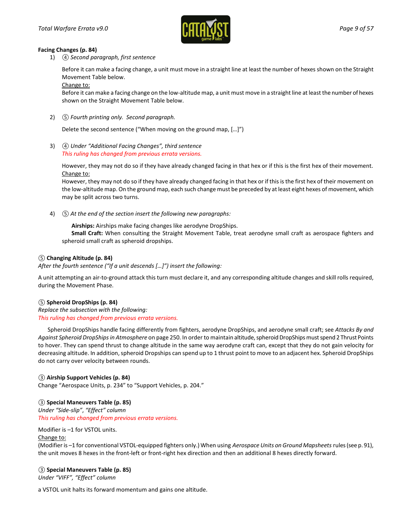

#### **Facing Changes (p. 84)**

1) *④ Second paragraph, first sentence*

Before it can make a facing change, a unit must move in a straight line at least the number of hexes shown on the Straight Movement Table below.

Change to:

Before it can make a facing change on the low-altitude map, a unit must move in a straight line at least the number of hexes shown on the Straight Movement Table below.

2) *⑤ Fourth printing only. Second paragraph.*

Delete the second sentence ("When moving on the ground map, […]")

3) *④ Under "Additional Facing Changes", third sentence This ruling has changed from previous errata versions.*

However, they may not do so if they have already changed facing in that hex or if this is the first hex of their movement. Change to:

However, they may not do so if they have already changed facing in that hex or if this is the first hex of their movement on the low-altitude map. On the ground map, each such change must be preceded by at least eight hexes of movement, which may be split across two turns.

4) *⑤ At the end of the section insert the following new paragraphs:* 

**Airships:** Airships make facing changes like aerodyne DropShips.

**Small Craft:** When consulting the Straight Movement Table, treat aerodyne small craft as aerospace fighters and spheroid small craft as spheroid dropships.

### *⑤* **Changing Altitude (p. 84)**

*After the fourth sentence ("If a unit descends […]") insert the following:*

A unit attempting an air-to-ground attack this turn must declare it, and any corresponding altitude changes and skill rolls required, during the Movement Phase.

### *⑤* **Spheroid DropShips (p. 84)**

*Replace the subsection with the following: This ruling has changed from previous errata versions.*

Spheroid DropShips handle facing differently from fighters, aerodyne DropShips, and aerodyne small craft; see *Attacks By and Against Spheroid DropShips in Atmosphere* on page 250. In order to maintain altitude, spheroid DropShips must spend 2 Thrust Points to hover. They can spend thrust to change altitude in the same way aerodyne craft can, except that they do not gain velocity for decreasing altitude. In addition, spheroid Dropships can spend up to 1 thrust point to move to an adjacent hex. Spheroid DropShips do not carry over velocity between rounds.

*③* **Airship Support Vehicles (p. 84)** Change "Aerospace Units, p. 234" to "Support Vehicles, p. 204."

### *③* **Special Maneuvers Table (p. 85)**

*Under "Side-slip"*, *"Effect" column This ruling has changed from previous errata versions.*

Modifier is –1 for VSTOL units.

#### Change to:

(Modifier is –1 for conventional VSTOL-equipped fighters only.) When using *Aerospace Units on Ground Mapsheets* rules (see p. 91), the unit moves 8 hexes in the front-left or front-right hex direction and then an additional 8 hexes directly forward.

### *③* **Special Maneuvers Table (p. 85)**

*Under "VIFF", "Effect" column*

a VSTOL unit halts its forward momentum and gains one altitude.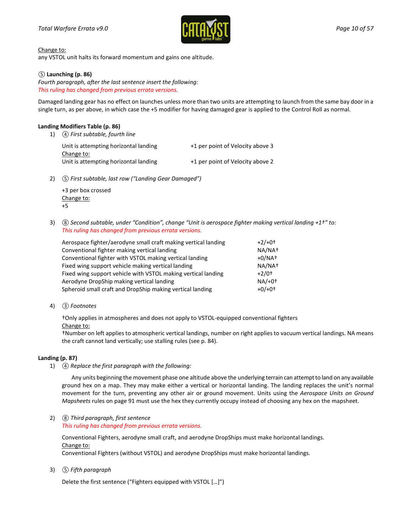

Change to:

any VSTOL unit halts its forward momentum and gains one altitude.

#### *⑤* **Launching (p. 86)**

*Fourth paragraph, after the last sentence insert the following: This ruling has changed from previous errata versions.*

Damaged landing gear has no effect on launches unless more than two units are attempting to launch from the same bay door in a single turn, as per above, in which case the +5 modifier for having damaged gear is applied to the Control Roll as normal.

#### **Landing Modifiers Table (p. 86)**

1) *④ First subtable, fourth line*

| Unit is attempting horizontal landing | +1 per point of Velocity above 3 |
|---------------------------------------|----------------------------------|
| Change to:                            |                                  |
| Unit is attempting horizontal landing | +1 per point of Velocity above 2 |

2) *⑤ First subtable, last row ("Landing Gear Damaged")*

+3 per box crossed Change to: +5

3) *⑧ Second subtable, under "Condition", change "Unit is aerospace fighter making vertical landing +1†" to: This ruling has changed from previous errata versions.*

| Aerospace fighter/aerodyne small craft making vertical landing | $+2/+0^{+}$         |
|----------------------------------------------------------------|---------------------|
| Conventional fighter making vertical landing                   | NA/NA <sup>+</sup>  |
| Conventional fighter with VSTOL making vertical landing        | $+0/NAt$            |
| Fixed wing support vehicle making vertical landing             | NA/NA <sup>+</sup>  |
| Fixed wing support vehicle with VSTOL making vertical landing  | $+2/0$ <sup>+</sup> |
| Aerodyne DropShip making vertical landing                      | $NA/+0+$            |
| Spheroid small craft and DropShip making vertical landing      | $+0/+0+$            |

4) *③ Footnotes*

†Only applies in atmospheres and does not apply to VSTOL-equipped conventional fighters

#### Change to:

†Number on left applies to atmospheric vertical landings, number on right applies to vacuum vertical landings. NA means the craft cannot land vertically; use stalling rules (see p. 84).

#### **Landing (p. 87)**

1) *④ Replace the first paragraph with the following:*

Any units beginning the movement phase one altitude above the underlying terrain can attempt to land on any available ground hex on a map. They may make either a vertical or horizontal landing. The landing replaces the unit's normal movement for the turn, preventing any other air or ground movement. Units using the *Aerospace Units on Ground Mapsheets* rules on page 91 must use the hex they currently occupy instead of choosing any hex on the mapsheet.

2) *⑧ Third paragraph, first sentence This ruling has changed from previous errata versions.*

Conventional Fighters, aerodyne small craft, and aerodyne DropShips must make horizontal landings. Change to:

Conventional Fighters (without VSTOL) and aerodyne DropShips must make horizontal landings.

3) *⑤ Fifth paragraph*

Delete the first sentence ("Fighters equipped with VSTOL […]")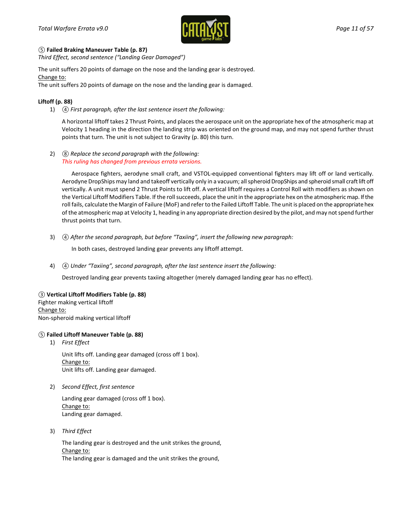

#### *⑤* **Failed Braking Maneuver Table (p. 87)**

*Third Effect, second sentence ("Landing Gear Damaged")*

The unit suffers 20 points of damage on the nose and the landing gear is destroyed. Change to:

The unit suffers 20 points of damage on the nose and the landing gear is damaged.

### **Liftoff (p. 88)**

1) *④ First paragraph, after the last sentence insert the following:*

A horizontal liftoff takes 2 Thrust Points, and places the aerospace unit on the appropriate hex of the atmospheric map at Velocity 1 heading in the direction the landing strip was oriented on the ground map, and may not spend further thrust points that turn. The unit is not subject to Gravity (p. 80) this turn.

2) *⑧ Replace the second paragraph with the following: This ruling has changed from previous errata versions.*

Aerospace fighters, aerodyne small craft, and VSTOL-equipped conventional fighters may lift off or land vertically. Aerodyne DropShips may land and takeoff vertically only in a vacuum; all spheroid DropShips and spheroid small craft lift off vertically. A unit must spend 2 Thrust Points to lift off. A vertical liftoff requires a Control Roll with modifiers as shown on the Vertical Liftoff Modifiers Table. If the roll succeeds, place the unit in the appropriate hex on the atmospheric map. Ifthe roll fails, calculate the Margin of Failure (MoF) and refer to the Failed Liftoff Table. The unit is placed on the appropriate hex of the atmospheric map at Velocity 1, heading in any appropriate direction desired by the pilot, and may not spend further thrust points that turn.

3) *④ After the second paragraph, but before "Taxiing", insert the following new paragraph:*

In both cases, destroyed landing gear prevents any liftoff attempt.

4) *④ Under "Taxiing", second paragraph, after the last sentence insert the following:*

Destroyed landing gear prevents taxiing altogether (merely damaged landing gear has no effect).

#### *③* **Vertical Liftoff Modifiers Table (p. 88)**

Fighter making vertical liftoff Change to: Non-spheroid making vertical liftoff

### *⑤* **Failed Liftoff Maneuver Table (p. 88)**

1) *First Effect*

Unit lifts off. Landing gear damaged (cross off 1 box). Change to: Unit lifts off. Landing gear damaged.

2) *Second Effect, first sentence*

Landing gear damaged (cross off 1 box). Change to: Landing gear damaged.

3) *Third Effect*

The landing gear is destroyed and the unit strikes the ground, Change to: The landing gear is damaged and the unit strikes the ground,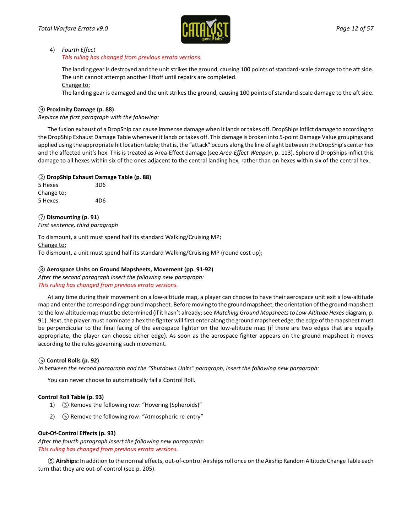

#### 4) *Fourth Effect*

#### *This ruling has changed from previous errata versions.*

The landing gear is destroyed and the unit strikes the ground, causing 100 points of standard-scale damage to the aft side. The unit cannot attempt another liftoff until repairs are completed.

Change to:

The landing gear is damaged and the unit strikes the ground, causing 100 points of standard-scale damage to the aft side.

#### *⑨* **Proximity Damage (p. 88)**

*Replace the first paragraph with the following:*

The fusion exhaust of a DropShip can cause immense damage when it lands or takes off. DropShips inflict damage to according to the DropShip Exhaust Damage Table whenever it lands or takes off. This damage is broken into 5-point Damage Value groupings and applied using the appropriate hit location table; that is, the "attack" occurs along the line of sight between the DropShip's center hex and the affected unit's hex. This is treated as Area-Effect damage (see *Area-Effect Weapon*, p. 113). Spheroid DropShips inflict this damage to all hexes within six of the ones adjacent to the central landing hex, rather than on hexes within six of the central hex.

#### *②* **DropShip Exhaust Damage Table (p. 88)**

| 5 Hexes    | 3D <sub>6</sub> |
|------------|-----------------|
| Change to: |                 |
| 5 Hexes    | 4D6             |

*⑦* **Dismounting (p. 91)** *First sentence, third paragraph*

To dismount, a unit must spend half its standard Walking/Cruising MP; Change to: To dismount, a unit must spend half its standard Walking/Cruising MP (round cost up);

### *⑧* **Aerospace Units on Ground Mapsheets, Movement (pp. 91-92)**

*After the second paragraph insert the following new paragraph:*

*This ruling has changed from previous errata versions.*

At any time during their movement on a low-altitude map, a player can choose to have their aerospace unit exit a low-altitude map and enter the corresponding ground mapsheet. Before moving to the ground mapsheet, the orientation of the ground mapsheet to the low-altitude map must be determined (if it hasn't already; see *Matching Ground Mapsheets to Low-Altitude Hexes* diagram, p. 91). Next, the player must nominate a hex the fighter will first enter along the ground mapsheet edge; the edge of the mapsheet must be perpendicular to the final facing of the aerospace fighter on the low-altitude map (if there are two edges that are equally appropriate, the player can choose either edge). As soon as the aerospace fighter appears on the ground mapsheet it moves according to the rules governing such movement.

#### *⑤* **Control Rolls (p. 92)**

*In between the second paragraph and the "Shutdown Units" paragraph, insert the following new paragraph:*

You can never choose to automatically fail a Control Roll.

#### **Control Roll Table (p. 93)**

- 1) *③* Remove the following row: "Hovering (Spheroids)"
- 2) *⑤* Remove the following row: "Atmospheric re-entry"

#### **Out-Of-Control Effects (p. 93)**

*After the fourth paragraph insert the following new paragraphs: This ruling has changed from previous errata versions.*

*⑤***Airships:** In addition to the normal effects, out-of-control Airships roll once on the Airship Random Altitude Change Table each turn that they are out-of-control (see p. 205).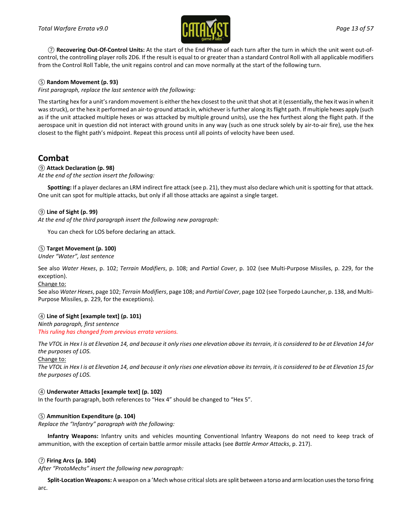

*⑦* **Recovering Out-Of-Control Units:** At the start of the End Phase of each turn after the turn in which the unit went out-ofcontrol, the controlling player rolls 2D6. If the result is equal to or greater than a standard Control Roll with all applicable modifiers from the Control Roll Table, the unit regains control and can move normally at the start of the following turn.

### *⑤* **Random Movement (p. 93)**

*First paragraph, replace the last sentence with the following:*

The starting hex for a unit's random movement is either the hex closest to the unit that shot at it (essentially, the hex it was in when it was struck), or the hex it performed an air-to-ground attack in, whichever is further along its flight path. If multiple hexes apply (such as if the unit attacked multiple hexes or was attacked by multiple ground units), use the hex furthest along the flight path. If the aerospace unit in question did not interact with ground units in any way (such as one struck solely by air-to-air fire), use the hex closest to the flight path's midpoint. Repeat this process until all points of velocity have been used.

## **Combat**

### *⑨* **Attack Declaration (p. 98)**

*At the end of the section insert the following:*

**Spotting:** If a player declares an LRM indirect fire attack (see p. 21), they must also declare which unit is spotting for that attack. One unit can spot for multiple attacks, but only if all those attacks are against a single target.

### *⑨* **Line of Sight (p. 99)**

*At the end of the third paragraph insert the following new paragraph:*

You can check for LOS before declaring an attack.

### *⑤* **Target Movement (p. 100)**

*Under "Water", last sentence*

See also *Water Hexes*, p. 102; *Terrain Modifiers*, p. 108; and *Partial Cover*, p. 102 (see Multi-Purpose Missiles, p. 229, for the exception).

#### Change to:

See also *Water Hexes*, page 102; *Terrain Modifiers*, page 108; and *Partial Cover*, page 102 (see Torpedo Launcher, p. 138, and Multi-Purpose Missiles, p. 229, for the exceptions).

### *④* **Line of Sight [example text] (p. 101)**

*Ninth paragraph, first sentence This ruling has changed from previous errata versions.*

*The VTOL in Hex I is at Elevation 14, and because it only rises one elevation above its terrain, it is considered to be at Elevation 14 for the purposes of LOS.*

Change to:

*The VTOL in Hex I is at Elevation 14, and because it only rises one elevation above its terrain, it is considered to be at Elevation 15 for the purposes of LOS.*

### *④* **Underwater Attacks [example text] (p. 102)**

In the fourth paragraph, both references to "Hex 4" should be changed to "Hex 5".

### *⑤* **Ammunition Expenditure (p. 104)**

*Replace the "Infantry" paragraph with the following:*

**Infantry Weapons:** Infantry units and vehicles mounting Conventional Infantry Weapons do not need to keep track of ammunition, with the exception of certain battle armor missile attacks (see *Battle Armor Attacks*, p. 217).

#### *⑦* **Firing Arcs (p. 104)**

*After "ProtoMechs" insert the following new paragraph:*

**Split-Location Weapons:** A weapon on a 'Mech whose critical slots are split between a torso and arm location uses the torso firing arc.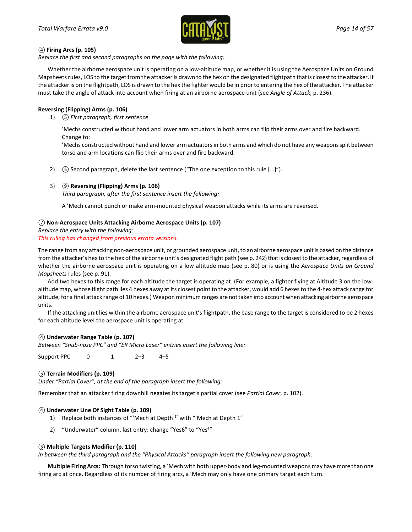

#### *④* **Firing Arcs (p. 105)**

*Replace the first and second paragraphs on the page with the following:*

Whether the airborne aerospace unit is operating on a low-altitude map, or whether it is using the Aerospace Units on Ground Mapsheets rules, LOS to the target from the attacker is drawn to the hex on the designated flightpath that is closest to the attacker. If the attacker is on the flightpath, LOS is drawn to the hex the fighter would be in prior to entering the hex of the attacker. The attacker must take the angle of attack into account when firing at an airborne aerospace unit (see *Angle of Attack*, p. 236).

### **Reversing (Flipping) Arms (p. 106)**

1) *⑤ First paragraph, first sentence*

'Mechs constructed without hand and lower arm actuators in both arms can flip their arms over and fire backward. Change to:

'Mechs constructed without hand and lower arm actuators in both arms and which do not have any weapons split between torso and arm locations can flip their arms over and fire backward.

2) *⑤* Second paragraph, delete the last sentence ("The one exception to this rule […]").

### 3) *⑨* **Reversing (Flipping) Arms (p. 106)**

*Third paragraph, after the first sentence insert the following:*

A 'Mech cannot punch or make arm-mounted physical weapon attacks while its arms are reversed.

### *⑦* **Non-Aerospace Units Attacking Airborne Aerospace Units (p. 107)**

*Replace the entry with the following: This ruling has changed from previous errata versions.*

The range from any attacking non-aerospace unit, or grounded aerospace unit, to an airborne aerospace unit is based on the distance from the attacker's hex to the hex of the airborne unit's designated flight path (see p. 242) that is closest to the attacker, regardless of whether the airborne aerospace unit is operating on a low altitude map (see p. 80) or is using the *Aerospace Units on Ground Mapsheets* rules (see p. 91).

Add two hexes to this range for each altitude the target is operating at. (For example, a fighter flying at Altitude 3 on the lowaltitude map, whose flight path lies 4 hexes away at its closest point to the attacker, would add 6 hexes to the 4-hex attack range for altitude, for a final attack range of 10 hexes.) Weapon minimum ranges are not taken into account when attacking airborne aerospace units.

If the attacking unit lies within the airborne aerospace unit's flightpath, the base range to the target is considered to be 2 hexes for each altitude level the aerospace unit is operating at.

### *④* **Underwater Range Table (p. 107)**

*Between "Snub-nose PPC" and "ER Micro Laser" entries insert the following line:*

Support PPC 0 1 2–3 4–5

### *⑤* **Terrain Modifiers (p. 109)**

*Under "Partial Cover", at the end of the paragraph insert the following:*

Remember that an attacker firing downhill negates its target's partial cover (see *Partial Cover*, p. 102).

#### *④* **Underwater Line Of Sight Table (p. 109)**

- 1) Replace both instances of "'Mech at Depth 1" with "'Mech at Depth 1"
- 2) "Underwater" column, last entry: change "Yes6" to "Yes<sup>6"</sup>

### *⑤* **Multiple Targets Modifier (p. 110)**

*In between the third paragraph and the "Physical Attacks" paragraph insert the following new paragraph:* 

**Multiple Firing Arcs:** Through torso twisting, a 'Mech with both upper-body and leg-mounted weapons may have more than one firing arc at once. Regardless of its number of firing arcs, a 'Mech may only have one primary target each turn.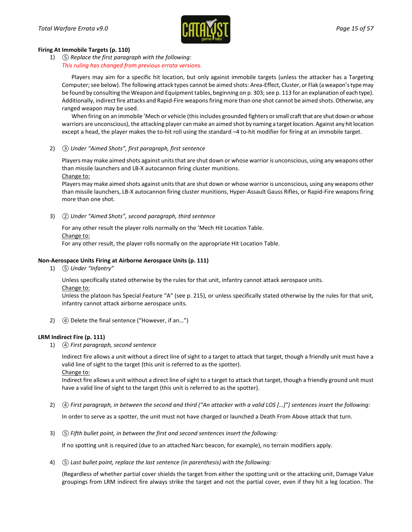

#### **Firing At Immobile Targets (p. 110)**

1) *⑤ Replace the first paragraph with the following: This ruling has changed from previous errata versions.*

Players may aim for a specific hit location, but only against immobile targets (unless the attacker has a Targeting Computer; see below). The following attack types cannot be aimed shots: Area-Effect, Cluster, or Flak (a weapon's type may be found by consulting the Weapon and Equipment tables, beginning on p. 303; see p. 113 for an explanation of each type). Additionally, indirect fire attacks and Rapid-Fire weapons firing more than one shot cannot be aimed shots. Otherwise, any ranged weapon may be used.

When firing on an immobile 'Mech or vehicle (this includes grounded fighters or small craft that are shut down or whose warriors are unconscious), the attacking player can make an aimed shot by naming a target location. Against any hit location except a head, the player makes the to-hit roll using the standard –4 to-hit modifier for firing at an immobile target.

2) *③ Under "Aimed Shots", first paragraph, first sentence*

Players may make aimed shots against units that are shut down or whose warrior is unconscious, using any weapons other than missile launchers and LB-X autocannon firing cluster munitions. Change to:

Players may make aimed shots against units that are shut down or whose warrior is unconscious, using any weapons other than missile launchers, LB-X autocannon firing cluster munitions, Hyper-Assault Gauss Rifles, or Rapid-Fire weapons firing more than one shot.

3) *② Under "Aimed Shots", second paragraph, third sentence*

For any other result the player rolls normally on the 'Mech Hit Location Table. Change to:

For any other result, the player rolls normally on the appropriate Hit Location Table.

### **Non-Aerospace Units Firing at Airborne Aerospace Units (p. 111)**

1) *⑤ Under "Infantry"*

Unless specifically stated otherwise by the rules for that unit, infantry cannot attack aerospace units.

Change to:

Unless the platoon has Special Feature "A" (see p. 215), or unless specifically stated otherwise by the rules for that unit, infantry cannot attack airborne aerospace units.

2) *④* Delete the final sentence ("However, if an…")

#### **LRM Indirect Fire (p. 111)**

1) *④ First paragraph, second sentence*

Indirect fire allows a unit without a direct line of sight to a target to attack that target, though a friendly unit must have a valid line of sight to the target (this unit is referred to as the spotter).

Change to:

Indirect fire allows a unit without a direct line of sight to a target to attack that target, though a friendly ground unit must have a valid line of sight to the target (this unit is referred to as the spotter).

2) *④ First paragraph, in between the second and third ("An attacker with a valid LOS […]") sentences insert the following:*

In order to serve as a spotter, the unit must not have charged or launched a Death From Above attack that turn.

3) *⑤ Fifth bullet point, in between the first and second sentences insert the following:*

If no spotting unit is required (due to an attached Narc beacon, for example), no terrain modifiers apply.

4) *⑤ Last bullet point, replace the last sentence (in parenthesis) with the following:*

(Regardless of whether partial cover shields the target from either the spotting unit or the attacking unit, Damage Value groupings from LRM indirect fire always strike the target and not the partial cover, even if they hit a leg location. The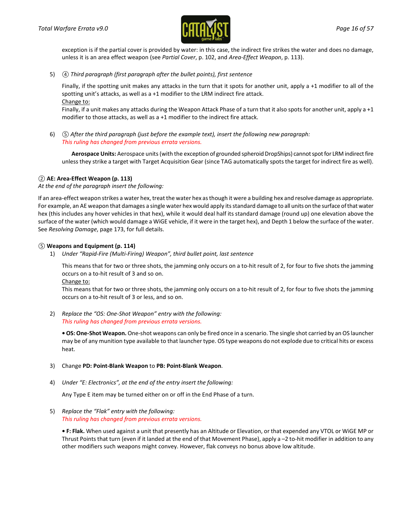

exception is if the partial cover is provided by water: in this case, the indirect fire strikes the water and does no damage, unless it is an area effect weapon (see *Partial Cover*, p. 102, and *Area-Effect Weapon*, p. 113).

5) *④ Third paragraph (first paragraph after the bullet points), first sentence*

Finally, if the spotting unit makes any attacks in the turn that it spots for another unit, apply a +1 modifier to all of the spotting unit's attacks, as well as a +1 modifier to the LRM indirect fire attack. Change to:

Finally, if a unit makes any attacks during the Weapon Attack Phase of a turn that it also spots for another unit, apply a +1 modifier to those attacks, as well as a +1 modifier to the indirect fire attack.

6) *⑤ After the third paragraph (just before the example text), insert the following new paragraph: This ruling has changed from previous errata versions.*

**Aerospace Units:** Aerospace units (with the exception of grounded spheroid DropShips) cannot spot for LRM indirect fire unless they strike a target with Target Acquisition Gear (since TAG automatically spots the target for indirect fire as well).

### *②* **AE: Area-Effect Weapon (p. 113)**

*At the end of the paragraph insert the following:*

If an area-effect weapon strikes a water hex, treat the water hex as though it were a building hex and resolve damage as appropriate. For example, an AE weapon that damages a single water hex would apply its standard damage to all units on the surface of that water hex (this includes any hover vehicles in that hex), while it would deal half its standard damage (round up) one elevation above the surface of the water (which would damage a WiGE vehicle, if it were in the target hex), and Depth 1 below the surface of the water. See *Resolving Damage*, page 173, for full details.

#### *⑤* **Weapons and Equipment (p. 114)**

1) *Under "Rapid-Fire (Multi-Firing) Weapon", third bullet point, last sentence*

This means that for two or three shots, the jamming only occurs on a to-hit result of 2, for four to five shots the jamming occurs on a to-hit result of 3 and so on.

Change to:

This means that for two or three shots, the jamming only occurs on a to-hit result of 2, for four to five shots the jamming occurs on a to-hit result of 3 or less, and so on.

2) *Replace the "OS: One-Shot Weapon" entry with the following: This ruling has changed from previous errata versions.*

**• OS: One-Shot Weapon.** One-shot weapons can only be fired once in a scenario. The single shot carried by an OS launcher may be of any munition type available to that launcher type. OS type weapons do not explode due to critical hits or excess heat.

- 3) Change **PD: Point-Blank Weapon** to **PB: Point-Blank Weapon**.
- 4) *Under "E: Electronics", at the end of the entry insert the following:*

Any Type E item may be turned either on or off in the End Phase of a turn.

5) *Replace the "Flak" entry with the following: This ruling has changed from previous errata versions.*

**• F: Flak.** When used against a unit that presently has an Altitude or Elevation, or that expended any VTOL or WiGE MP or Thrust Points that turn (even if it landed at the end of that Movement Phase), apply a –2 to-hit modifier in addition to any other modifiers such weapons might convey. However, flak conveys no bonus above low altitude.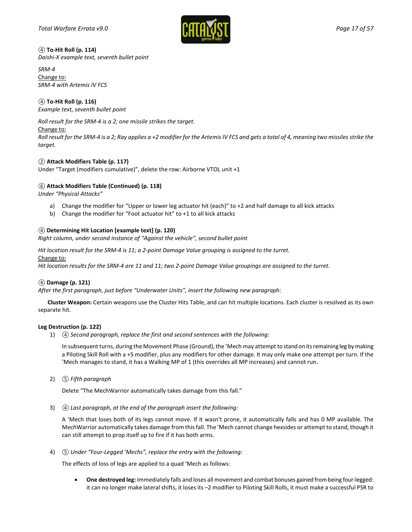

*④* **To-Hit Roll (p. 114)** *Daishi-X example text, seventh bullet point*

*SRM-4*  Change to: *SRM-4 with Artemis IV FCS*

### *④* **To-Hit Roll (p. 116)**

*Example text, seventh bullet point*

*Roll result for the SRM-4 is a 2; one missile strikes the target.*

### Change to:

*Roll result for the SRM-4 is a 2; Ray applies a +2 modifier for the Artemis IV FCS and gets a total of 4, meaning two missiles strike the target.*

### *②* **Attack Modifiers Table (p. 117)**

Under "Target (modifiers cumulative)", delete the row: Airborne VTOL unit +1

### *⑥* **Attack Modifiers Table (Continued) (p. 118)**

*Under "Physical Attacks"*

- a) Change the modifier for "Upper or lower leg actuator hit (each)" to +2 and half damage to all kick attacks
- b) Change the modifier for "Foot actuator hit" to +1 to all kick attacks

### *④* **Determining Hit Location [example text] (p. 120)**

*Right column, under second instance of "Against the vehicle", second bullet point*

*Hit location result for the SRM-4 is 11; a 2-point Damage Value grouping is assigned to the turret.*

Change to:

*Hit location results for the SRM-4 are 11 and 11; two 2-point Damage Value groupings are assigned to the turret.*

### *④* **Damage (p. 121)**

*After the first paragraph, just before "Underwater Units", insert the following new paragraph:* 

**Cluster Weapon:** Certain weapons use the Cluster Hits Table, and can hit multiple locations. Each cluster is resolved as its own separate hit.

#### **Leg Destruction (p. 122)**

1) *④ Second paragraph, replace the first and second sentences with the following:*

In subsequent turns, during the Movement Phase (Ground), the 'Mech may attempt to stand on its remaining leg by making a Piloting Skill Roll with a +5 modifier, plus any modifiers for other damage. It may only make one attempt per turn. If the 'Mech manages to stand, it has a Walking MP of 1 (this overrides all MP increases) and cannot run.

2) *⑤ Fifth paragraph*

Delete "The MechWarrior automatically takes damage from this fall."

3) *④ Last paragraph, at the end of the paragraph insert the following:*

A 'Mech that loses both of its legs cannot move. If it wasn't prone, it automatically falls and has 0 MP available. The MechWarrior automatically takes damage from this fall. The 'Mech cannot change hexsides or attempt to stand, though it can still attempt to prop itself up to fire if it has both arms.

4) *⑤ Under "Four-Legged 'Mechs", replace the entry with the following:*

The effects of loss of legs are applied to a quad 'Mech as follows:

• **One destroyed leg:** Immediately falls and loses all movement and combat bonuses gained from being four-legged: it can no longer make lateral shifts, it loses its –2 modifier to Piloting Skill Rolls, it must make a successful PSR to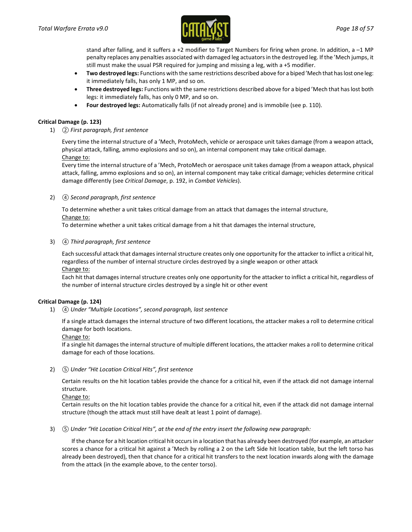

stand after falling, and it suffers a +2 modifier to Target Numbers for firing when prone. In addition, a –1 MP penalty replaces any penalties associated with damaged leg actuators in the destroyed leg. If the 'Mech jumps, it still must make the usual PSR required for jumping and missing a leg, with a +5 modifier.

- **Two destroyed legs:** Functions with the same restrictions described above for a biped 'Mech that has lost one leg: it immediately falls, has only 1 MP, and so on.
- **Three destroyed legs:** Functions with the same restrictions described above for a biped 'Mech that has lost both legs: it immediately falls, has only 0 MP, and so on.
- **Four destroyed legs:** Automatically falls (if not already prone) and is immobile (see p. 110).

### **Critical Damage (p. 123)**

1) *② First paragraph, first sentence*

Every time the internal structure of a 'Mech, ProtoMech, vehicle or aerospace unit takes damage (from a weapon attack, physical attack, falling, ammo explosions and so on), an internal component may take critical damage. Change to:

Every time the internal structure of a 'Mech, ProtoMech or aerospace unit takes damage (from a weapon attack, physical attack, falling, ammo explosions and so on), an internal component may take critical damage; vehicles determine critical damage differently (see *Critical Damage*, p. 192, in *Combat Vehicles*).

2) *④ Second paragraph, first sentence*

To determine whether a unit takes critical damage from an attack that damages the internal structure, Change to:

To determine whether a unit takes critical damage from a hit that damages the internal structure,

#### 3) *④ Third paragraph, first sentence*

Each successful attack that damages internal structure creates only one opportunity for the attacker to inflict a critical hit, regardless of the number of internal structure circles destroyed by a single weapon or other attack Change to:

Each hit that damages internal structure creates only one opportunity for the attacker to inflict a critical hit, regardless of the number of internal structure circles destroyed by a single hit or other event

#### **Critical Damage (p. 124)**

1) *④ Under "Multiple Locations", second paragraph, last sentence*

If a single attack damages the internal structure of two different locations, the attacker makes a roll to determine critical damage for both locations.

Change to:

If a single hit damages the internal structure of multiple different locations, the attacker makes a roll to determine critical damage for each of those locations.

2) *⑤ Under "Hit Location Critical Hits", first sentence* 

Certain results on the hit location tables provide the chance for a critical hit, even if the attack did not damage internal structure.

Change to:

Certain results on the hit location tables provide the chance for a critical hit, even if the attack did not damage internal structure (though the attack must still have dealt at least 1 point of damage).

3) *⑤ Under "Hit Location Critical Hits", at the end of the entry insert the following new paragraph:*

If the chance for a hit location critical hit occurs in a location that has already been destroyed (for example, an attacker scores a chance for a critical hit against a 'Mech by rolling a 2 on the Left Side hit location table, but the left torso has already been destroyed), then that chance for a critical hit transfers to the next location inwards along with the damage from the attack (in the example above, to the center torso).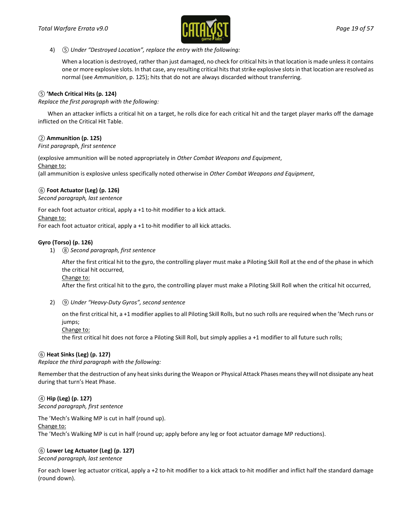

#### 4) *⑤ Under "Destroyed Location", replace the entry with the following:*

When a location is destroyed, rather than just damaged, no check for critical hits in that location is made unless it contains one or more explosive slots. In that case, any resulting critical hits that strike explosive slots in that location are resolved as normal (see *Ammunition*, p. 125); hits that do not are always discarded without transferring.

#### *⑤* **'Mech Critical Hits (p. 124)**

*Replace the first paragraph with the following:*

When an attacker inflicts a critical hit on a target, he rolls dice for each critical hit and the target player marks off the damage inflicted on the Critical Hit Table.

### *②* **Ammunition (p. 125)**

*First paragraph, first sentence*

(explosive ammunition will be noted appropriately in *Other Combat Weapons and Equipment*, Change to:

(all ammunition is explosive unless specifically noted otherwise in *Other Combat Weapons and Equipment*,

#### *⑥* **Foot Actuator (Leg) (p. 126)**

*Second paragraph, last sentence*

For each foot actuator critical, apply a +1 to-hit modifier to a kick attack. Change to:

For each foot actuator critical, apply a +1 to-hit modifier to all kick attacks.

### **Gyro (Torso) (p. 126)**

1) *⑧ Second paragraph, first sentence*

After the first critical hit to the gyro, the controlling player must make a Piloting Skill Roll at the end of the phase in which the critical hit occurred,

Change to:

After the first critical hit to the gyro, the controlling player must make a Piloting Skill Roll when the critical hit occurred,

2) *⑨ Under "Heavy-Duty Gyros", second sentence*

on the first critical hit, a +1 modifier applies to all Piloting Skill Rolls, but no such rolls are required when the 'Mech runs or jumps;

Change to:

the first critical hit does not force a Piloting Skill Roll, but simply applies a +1 modifier to all future such rolls;

### *⑥* **Heat Sinks (Leg) (p. 127)**

*Replace the third paragraph with the following:*

Remember that the destruction of any heat sinks during the Weapon or Physical Attack Phases means they will not dissipate any heat during that turn's Heat Phase.

## *④* **Hip (Leg) (p. 127)**

*Second paragraph, first sentence*

The 'Mech's Walking MP is cut in half (round up).

Change to:

The 'Mech's Walking MP is cut in half (round up; apply before any leg or foot actuator damage MP reductions).

#### *⑥* **Lower Leg Actuator (Leg) (p. 127)**

*Second paragraph, last sentence*

For each lower leg actuator critical, apply a +2 to-hit modifier to a kick attack to-hit modifier and inflict half the standard damage (round down).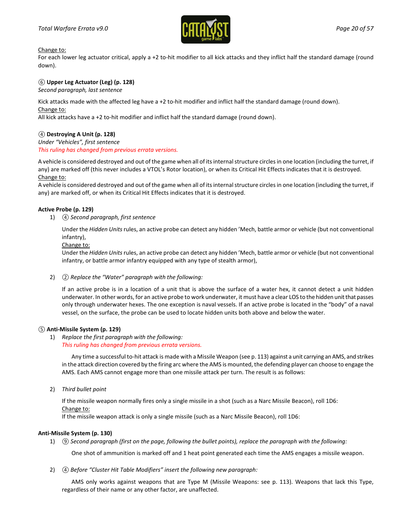

Change to:

For each lower leg actuator critical, apply a +2 to-hit modifier to all kick attacks and they inflict half the standard damage (round down).

### *⑥* **Upper Leg Actuator (Leg) (p. 128)**

*Second paragraph, last sentence*

Kick attacks made with the affected leg have a +2 to-hit modifier and inflict half the standard damage (round down). Change to:

All kick attacks have a +2 to-hit modifier and inflict half the standard damage (round down).

### *④* **Destroying A Unit (p. 128)**

*Under "Vehicles", first sentence This ruling has changed from previous errata versions.*

A vehicle is considered destroyed and out of the game when all of its internal structure circles in one location (including the turret, if any) are marked off (this never includes a VTOL's Rotor location), or when its Critical Hit Effects indicates that it is destroyed. Change to:

A vehicle is considered destroyed and out of the game when all of its internal structure circles in one location (including the turret, if any) are marked off, or when its Critical Hit Effects indicates that it is destroyed.

### **Active Probe (p. 129)**

1) *④ Second paragraph, first sentence*

Under the *Hidden Units* rules, an active probe can detect any hidden 'Mech, battle armor or vehicle (but not conventional infantry),

Change to:

Under the *Hidden Units*rules, an active probe can detect any hidden 'Mech, battle armor or vehicle (but not conventional infantry, or battle armor infantry equipped with any type of stealth armor),

2) *② Replace the "Water" paragraph with the following:*

If an active probe is in a location of a unit that is above the surface of a water hex, it cannot detect a unit hidden underwater. In other words, for an active probe to work underwater, it must have a clear LOS to the hidden unit that passes only through underwater hexes. The one exception is naval vessels. If an active probe is located in the "body" of a naval vessel, on the surface, the probe can be used to locate hidden units both above and below the water.

### *⑤* **Anti-Missile System (p. 129)**

1) *Replace the first paragraph with the following: This ruling has changed from previous errata versions.*

Any time a successful to-hit attack is made with a Missile Weapon (see p. 113) against a unit carrying an AMS, and strikes in the attack direction covered by the firing arc where the AMS is mounted, the defending player can choose to engage the AMS. Each AMS cannot engage more than one missile attack per turn. The result is as follows:

2) *Third bullet point*

If the missile weapon normally fires only a single missile in a shot (such as a Narc Missile Beacon), roll 1D6: Change to:

If the missile weapon attack is only a single missile (such as a Narc Missile Beacon), roll 1D6:

### **Anti-Missile System (p. 130)**

1) *⑨ Second paragraph (first on the page, following the bullet points), replace the paragraph with the following:*

One shot of ammunition is marked off and 1 heat point generated each time the AMS engages a missile weapon.

2) *④ Before "Cluster Hit Table Modifiers" insert the following new paragraph:*

AMS only works against weapons that are Type M (Missile Weapons: see p. 113). Weapons that lack this Type, regardless of their name or any other factor, are unaffected.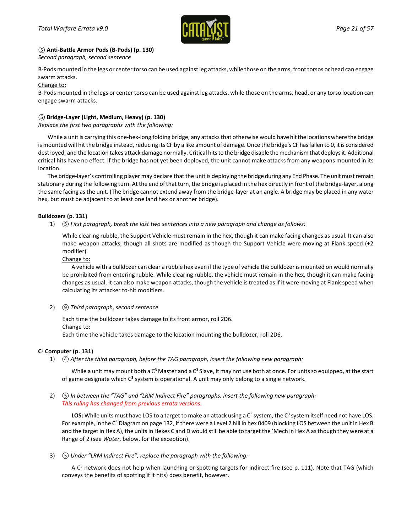

### *⑤* **Anti-Battle Armor Pods (B-Pods) (p. 130)**

*Second paragraph, second sentence*

B-Pods mounted in the legs or center torso can be used against leg attacks, while those on the arms, front torsos or head can engage swarm attacks.

Change to:

B-Pods mounted in the legs or center torso can be used against leg attacks, while those on the arms, head, or any torso location can engage swarm attacks.

### *⑤* **Bridge-Layer (Light, Medium, Heavy) (p. 130)**

*Replace the first two paragraphs with the following:*

While a unit is carrying this one-hex-long folding bridge, any attacks that otherwise would have hit the locations where the bridge is mounted will hit the bridge instead, reducing its CF by a like amount of damage. Once the bridge's CF has fallen to 0, it is considered destroyed, and the location takes attack damage normally. Critical hits to the bridge disable the mechanism that deploys it. Additional critical hits have no effect. If the bridge has not yet been deployed, the unit cannot make attacks from any weapons mounted in its location.

The bridge-layer's controlling player may declare that the unit is deploying the bridge during any End Phase. The unit must remain stationary during the following turn. At the end of that turn, the bridge is placed in the hex directly in front of the bridge-layer, along the same facing as the unit. (The bridge cannot extend away from the bridge-layer at an angle. A bridge may be placed in any water hex, but must be adjacent to at least one land hex or another bridge).

#### **Bulldozers (p. 131)**

1) *⑤ First paragraph, break the last two sentences into a new paragraph and change as follows:*

While clearing rubble, the Support Vehicle must remain in the hex, though it can make facing changes as usual. It can also make weapon attacks, though all shots are modified as though the Support Vehicle were moving at Flank speed (+2 modifier).

Change to:

A vehicle with a bulldozer can clear a rubble hex even if the type of vehicle the bulldozer is mounted on would normally be prohibited from entering rubble. While clearing rubble, the vehicle must remain in the hex, though it can make facing changes as usual. It can also make weapon attacks, though the vehicle is treated as if it were moving at Flank speed when calculating its attacker to-hit modifiers.

#### 2) *⑨ Third paragraph, second sentence*

Each time the bulldozer takes damage to its front armor, roll 2D6. Change to: Each time the vehicle takes damage to the location mounting the bulldozer, roll 2D6.

#### **C3 Computer (p. 131)**

1) *④ After the third paragraph, before the TAG paragraph, insert the following new paragraph:*

While a unit may mount both a C**<sup>3</sup>** Master and a C**<sup>3</sup>** Slave, it may not use both at once. For units so equipped, at the start of game designate which C**<sup>3</sup>** system is operational. A unit may only belong to a single network.

2) *⑤ In between the "TAG" and "LRM Indirect Fire" paragraphs, insert the following new paragraph: This ruling has changed from previous errata versions.*

LOS: While units must have LOS to a target to make an attack using a C<sup>3</sup> system, the C<sup>3</sup> system itself need not have LOS. For example, in the C<sup>3</sup> Diagram on page 132, if there were a Level 2 hill in hex 0409 (blocking LOS between the unit in Hex B and the target in Hex A), the units in Hexes C and D would still be able to target the 'Mech in Hex A as though they were at a Range of 2 (see *Water*, below, for the exception).

3) *⑤ Under "LRM Indirect Fire", replace the paragraph with the following:*

A  $C<sup>3</sup>$  network does not help when launching or spotting targets for indirect fire (see p. 111). Note that TAG (which conveys the benefits of spotting if it hits) does benefit, however.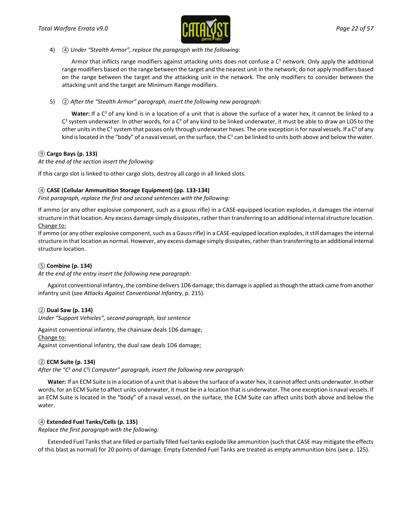

#### 4) *④ Under "Stealth Armor", replace the paragraph with the following:*

Armor that inflicts range modifiers against attacking units does not confuse a  $C<sup>3</sup>$  network. Only apply the additional range modifiers based on the range between the target and the nearest unit in the network; do not apply modifiers based on the range between the target and the attacking unit in the network. The only modifiers to consider between the attacking unit and the target are Minimum Range modifiers.

5) *② After the "Stealth Armor" paragraph, insert the following new paragraph:* 

Water: If a C<sup>3</sup> of any kind is in a location of a unit that is above the surface of a water hex, it cannot be linked to a  $C<sup>3</sup>$  system underwater. In other words, for a  $C<sup>3</sup>$  of any kind to be linked underwater, it must be able to draw an LOS to the other units in the C<sup>3</sup> system that passes only through underwater hexes. The one exception is for naval vessels. If a C<sup>3</sup> of any kind is located in the "body" of a naval vessel, on the surface, the  $C^3$  can be linked to units both above and below the water.

### *⑨* **Cargo Bays (p. 133)**

*At the end of the section insert the following:*

If this cargo slot is linked to other cargo slots, destroy all cargo in all linked slots.

### *④* **CASE (Cellular Ammunition Storage Equipment) (pp. 133-134)**

*First paragraph, replace the first and second sentences with the following:*

If ammo (or any other explosive component, such as a gauss rifle) in a CASE-equipped location explodes, it damages the internal structure in that location. Any excess damage simply dissipates, rather than transferring to an additional internal structure location. Change to:

If ammo (or any other explosive component, such as a Gauss rifle) in a CASE-equipped location explodes, it still damages the internal structure in that location as normal. However, any excess damage simply dissipates, rather than transferring to an additional internal structure location.

### *⑤* **Combine (p. 134)**

*At the end of the entry insert the following new paragraph:*

Against conventional infantry, the combine delivers 1D6 damage; this damage is applied as though the attack came from another infantry unit (see *Attacks Against Conventional Infantry*, p. 215).

### *②* **Dual Saw (p. 134)**

*Under "Support Vehicles", second paragraph, last sentence*

Against conventional infantry, the chainsaw deals 1D6 damage;

Change to: Against conventional infantry, the dual saw deals 1D6 damage;

### *②* **ECM Suite (p. 134)**

*After the "C3 and C3i Computer" paragraph, insert the following new paragraph:* 

**Water:** If an ECM Suite is in a location of a unit that is above the surface of a water hex, it cannot affect units underwater. In other words, for an ECM Suite to affect units underwater, it must be in a location that is underwater. The one exception is naval vessels. If an ECM Suite is located in the "body" of a naval vessel, on the surface, the ECM Suite can affect units both above and below the water.

### *④* **Extended Fuel Tanks/Cells (p. 135)**

*Replace the first paragraph with the following:*

Extended Fuel Tanks that are filled or partially filled fuel tanks explode like ammunition (such that CASE may mitigate the effects of this blast as normal) for 20 points of damage. Empty Extended Fuel Tanks are treated as empty ammunition bins (see p. 125).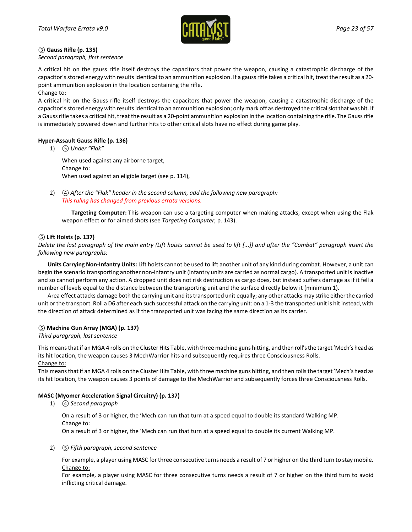

#### *③* **Gauss Rifle (p. 135)**

*Second paragraph, first sentence*

A critical hit on the gauss rifle itself destroys the capacitors that power the weapon, causing a catastrophic discharge of the capacitor's stored energy with results identical to an ammunition explosion. If a gauss rifle takes a critical hit, treat the result as a 20 point ammunition explosion in the location containing the rifle.

Change to:

A critical hit on the Gauss rifle itself destroys the capacitors that power the weapon, causing a catastrophic discharge of the capacitor's stored energy with results identical to an ammunition explosion; only mark off as destroyed the critical slot that was hit. If a Gauss rifle takes a critical hit, treat the result as a 20-point ammunition explosion in the location containing the rifle. The Gauss rifle is immediately powered down and further hits to other critical slots have no effect during game play.

### **Hyper-Assault Gauss Rifle (p. 136)**

1) *⑤ Under "Flak"*

When used against any airborne target, Change to: When used against an eligible target (see p. 114),

2) *④ After the "Flak" header in the second column, add the following new paragraph: This ruling has changed from previous errata versions.*

**Targeting Computer:** This weapon can use a targeting computer when making attacks, except when using the Flak weapon effect or for aimed shots (see *Targeting Computer*, p. 143).

### *⑤* **Lift Hoists (p. 137)**

*Delete the last paragraph of the main entry (Lift hoists cannot be used to lift [...]) and after the "Combat" paragraph insert the following new paragraphs:*

**Units Carrying Non-Infantry Units:** Lift hoists cannot be used to lift another unit of any kind during combat. However, a unit can begin the scenario transporting another non-infantry unit (infantry units are carried as normal cargo). A transported unit is inactive and so cannot perform any action. A dropped unit does not risk destruction as cargo does, but instead suffers damage as if it fell a number of levels equal to the distance between the transporting unit and the surface directly below it (minimum 1).

Area effect attacks damage both the carrying unit and its transported unit equally; any other attacks may strike either the carried unit or the transport. Roll a D6 after each such successful attack on the carrying unit: on a 1-3 the transported unit is hit instead, with the direction of attack determined as if the transported unit was facing the same direction as its carrier.

### *⑤* **Machine Gun Array (MGA) (p. 137)**

#### *Third paragraph, last sentence*

This means that if an MGA 4 rolls on the Cluster Hits Table, with three machine guns hitting, and then roll's the target 'Mech's head as its hit location, the weapon causes 3 MechWarrior hits and subsequently requires three Consciousness Rolls. Change to:

This means that if an MGA 4 rolls on the Cluster Hits Table, with three machine guns hitting, and then rolls the target 'Mech's head as its hit location, the weapon causes 3 points of damage to the MechWarrior and subsequently forces three Consciousness Rolls.

### **MASC (Myomer Acceleration Signal Circuitry) (p. 137)**

1) *④ Second paragraph*

On a result of 3 or higher, the 'Mech can run that turn at a speed equal to double its standard Walking MP. Change to: On a result of 3 or higher, the 'Mech can run that turn at a speed equal to double its current Walking MP.

2) *⑤ Fifth paragraph, second sentence*

For example, a player using MASC for three consecutive turns needs a result of 7 or higher on the third turn to stay mobile. Change to:

For example, a player using MASC for three consecutive turns needs a result of 7 or higher on the third turn to avoid inflicting critical damage.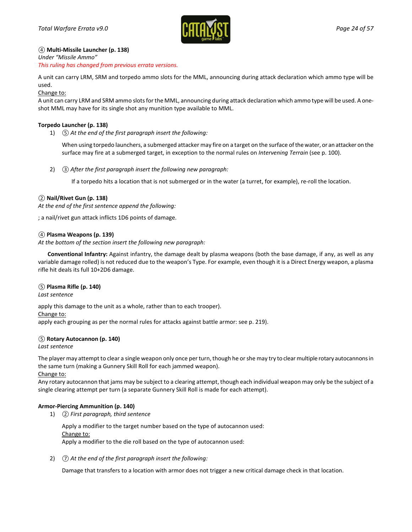

### *④* **Multi-Missile Launcher (p. 138)**

*Under "Missile Ammo" This ruling has changed from previous errata versions.*

A unit can carry LRM, SRM and torpedo ammo slots for the MML, announcing during attack declaration which ammo type will be used.

Change to:

A unit can carry LRM and SRM ammo slots for the MML, announcing during attack declaration which ammo type will be used. A oneshot MML may have for its single shot any munition type available to MML.

### **Torpedo Launcher (p. 138)**

1) *⑤ At the end of the first paragraph insert the following:*

When using torpedo launchers, a submerged attacker may fire on a target on the surface of the water, or an attacker on the surface may fire at a submerged target, in exception to the normal rules on *Intervening Terrain* (see p. 100).

2) *③ After the first paragraph insert the following new paragraph:*

If a torpedo hits a location that is not submerged or in the water (a turret, for example), re-roll the location.

#### *②* **Nail/Rivet Gun (p. 138)**

*At the end of the first sentence append the following:*

; a nail/rivet gun attack inflicts 1D6 points of damage.

#### *④* **Plasma Weapons (p. 139)**

*At the bottom of the section insert the following new paragraph:* 

**Conventional Infantry:** Against infantry, the damage dealt by plasma weapons (both the base damage, if any, as well as any variable damage rolled) is not reduced due to the weapon's Type. For example, even though it is a Direct Energy weapon, a plasma rifle hit deals its full 10+2D6 damage.

#### *⑤* **Plasma Rifle (p. 140)**

*Last sentence*

apply this damage to the unit as a whole, rather than to each trooper).

Change to:

apply each grouping as per the normal rules for attacks against battle armor: see p. 219).

#### *⑤* **Rotary Autocannon (p. 140)**

*Last sentence*

The player may attempt to clear a single weapon only once per turn, though he or she may try to clear multiple rotary autocannons in the same turn (making a Gunnery Skill Roll for each jammed weapon).

Change to:

Any rotary autocannon that jams may be subject to a clearing attempt, though each individual weapon may only be the subject of a single clearing attempt per turn (a separate Gunnery Skill Roll is made for each attempt).

#### **Armor-Piercing Ammunition (p. 140)**

1) *② First paragraph, third sentence*

Apply a modifier to the target number based on the type of autocannon used: Change to: Apply a modifier to the die roll based on the type of autocannon used:

2) *⑦ At the end of the first paragraph insert the following:*

Damage that transfers to a location with armor does not trigger a new critical damage check in that location.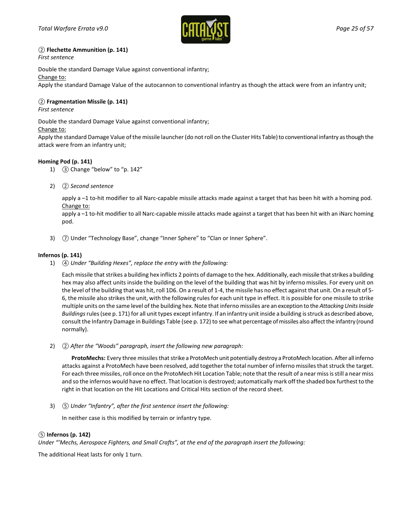

### *②* **Flechette Ammunition (p. 141)**

*First sentence*

Double the standard Damage Value against conventional infantry;

Change to:

Apply the standard Damage Value of the autocannon to conventional infantry as though the attack were from an infantry unit;

### *②* **Fragmentation Missile (p. 141)**

#### *First sentence*

Double the standard Damage Value against conventional infantry;

#### Change to:

Apply the standard Damage Value of the missile launcher (do not roll on the Cluster Hits Table) to conventional infantry as though the attack were from an infantry unit;

#### **Homing Pod (p. 141)**

- 1) *③* Change "below" to "p. 142"
- 2) *② Second sentence*

apply a –1 to-hit modifier to all Narc-capable missile attacks made against a target that has been hit with a homing pod. Change to:

apply a -1 to-hit modifier to all Narc-capable missile attacks made against a target that has been hit with an iNarc homing pod.

3)  $\circled{7}$  Under "Technology Base", change "Inner Sphere" to "Clan or Inner Sphere".

### **Infernos (p. 141)**

1) *④ Under "Building Hexes", replace the entry with the following:*

Each missile that strikes a building hex inflicts 2 points of damage to the hex. Additionally, each missile that strikes a building hex may also affect units inside the building on the level of the building that was hit by inferno missiles. For every unit on the level of the building that was hit, roll 1D6. On a result of 1-4, the missile has no effect against that unit. On a result of 5- 6, the missile also strikes the unit, with the following rules for each unit type in effect. It is possible for one missile to strike multiple units on the same level of the building hex. Note that inferno missiles are an exception to the *Attacking Units Inside Buildings*rules (see p. 171) for all unit types except infantry. If an infantry unit inside a building is struck as described above, consult the Infantry Damage in Buildings Table (see p. 172) to see what percentage of missiles also affect the infantry (round normally).

2) *② After the "Woods" paragraph, insert the following new paragraph:* 

**ProtoMechs:** Every three missiles that strike a ProtoMech unit potentially destroy a ProtoMech location. After all inferno attacks against a ProtoMech have been resolved, add together the total number of inferno missiles that struck the target. For each three missiles, roll once on the ProtoMech Hit Location Table; note that the result of a near miss is still a near miss and so the infernos would have no effect. That location is destroyed; automatically mark off the shaded box furthest to the right in that location on the Hit Locations and Critical Hits section of the record sheet.

3) *⑤ Under "Infantry", after the first sentence insert the following:*

In neither case is this modified by terrain or infantry type.

#### *⑤* **Infernos (p. 142)**

*Under "'Mechs, Aerospace Fighters, and Small Crafts", at the end of the paragraph insert the following:*

The additional Heat lasts for only 1 turn.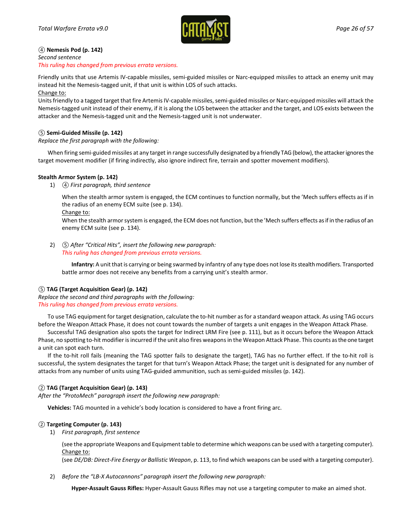

#### *④* **Nemesis Pod (p. 142)** *Second sentence This ruling has changed from previous errata versions.*

Friendly units that use Artemis IV-capable missiles, semi-guided missiles or Narc-equipped missiles to attack an enemy unit may instead hit the Nemesis-tagged unit, if that unit is within LOS of such attacks.

Change to:

Units friendly to a tagged target that fire Artemis IV-capable missiles, semi-guided missiles or Narc-equipped missiles will attack the Nemesis-tagged unit instead of their enemy, if it is along the LOS between the attacker and the target, and LOS exists between the attacker and the Nemesis-tagged unit and the Nemesis-tagged unit is not underwater.

### *⑤* **Semi-Guided Missile (p. 142)**

### *Replace the first paragraph with the following:*

When firing semi-guided missiles at any target in range successfully designated by a friendly TAG (below), the attacker ignores the target movement modifier (if firing indirectly, also ignore indirect fire, terrain and spotter movement modifiers).

### **Stealth Armor System (p. 142)**

1) *④ First paragraph, third sentence*

When the stealth armor system is engaged, the ECM continues to function normally, but the 'Mech suffers effects as if in the radius of an enemy ECM suite (see p. 134).

Change to:

When the stealth armor system is engaged, the ECM does not function, but the 'Mech suffers effects as if in the radius of an enemy ECM suite (see p. 134).

2) *⑤ After "Critical Hits", insert the following new paragraph: This ruling has changed from previous errata versions.*

**Infantry:** A unit that is carrying or being swarmed by infantry of any type does not lose its stealth modifiers. Transported battle armor does not receive any benefits from a carrying unit's stealth armor.

### *⑤* **TAG (Target Acquisition Gear) (p. 142)**

*Replace the second and third paragraphs with the following: This ruling has changed from previous errata versions.*

To use TAG equipment for target designation, calculate the to-hit number as for a standard weapon attack. As using TAG occurs before the Weapon Attack Phase, it does not count towards the number of targets a unit engages in the Weapon Attack Phase.

Successful TAG designation also spots the target for Indirect LRM Fire (see p. 111), but as it occurs before the Weapon Attack Phase, no spotting to-hit modifier is incurred if the unit also fires weapons in the Weapon Attack Phase. This counts as the one target a unit can spot each turn.

If the to-hit roll fails (meaning the TAG spotter fails to designate the target), TAG has no further effect. If the to-hit roll is successful, the system designates the target for that turn's Weapon Attack Phase; the target unit is designated for any number of attacks from any number of units using TAG-guided ammunition, such as semi-guided missiles (p. 142).

### *②* **TAG (Target Acquisition Gear) (p. 143)**

*After the "ProtoMech" paragraph insert the following new paragraph:* 

**Vehicles:** TAG mounted in a vehicle's body location is considered to have a front firing arc.

### *②* **Targeting Computer (p. 143)**

1) *First paragraph, first sentence*

(see the appropriate Weapons and Equipment table to determine which weapons can be used with a targeting computer). Change to:

(see *DE/DB: Direct-Fire Energy or Ballistic Weapon*, p. 113, to find which weapons can be used with a targeting computer).

2) *Before the "LB-X Autocannons" paragraph insert the following new paragraph:* 

**Hyper-Assault Gauss Rifles:** Hyper-Assault Gauss Rifles may not use a targeting computer to make an aimed shot.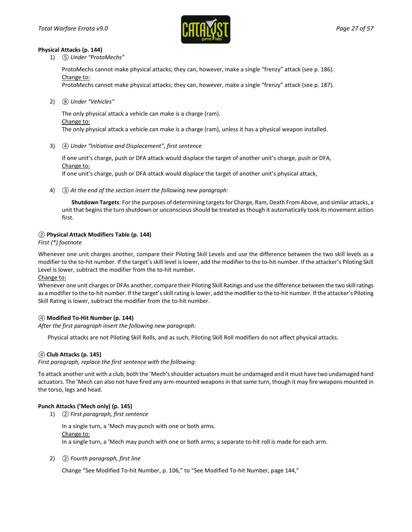

#### **Physical Attacks (p. 144)**

1) *⑤ Under "ProtoMechs"*

ProtoMechs cannot make physical attacks; they can, however, make a single "frenzy" attack (see p. 186). Change to:

ProtoMechs cannot make physical attacks; they can, however, make a single "frenzy" attack (see p. 187).

2) *⑧ Under "Vehicles"*

The only physical attack a vehicle can make is a charge (ram). Change to: The only physical attack a vehicle can make is a charge (ram), unless it has a physical weapon installed.

3) *④ Under "Initiative and Displacement", first sentence*

If one unit's charge, push or DFA attack would displace the target of another unit's charge, push or DFA, Change to:

If one unit's charge, push or DFA attack would displace the target of another unit's physical attack,

4) *③ At the end of the section insert the following new paragraph:*

**Shutdown Targets**: For the purposes of determining targetsfor Charge, Ram, Death From Above, and similar attacks, a unit that begins the turn shutdown or unconscious should be treated as though it automatically took its movement action first.

### *②* **Physical Attack Modifiers Table (p. 144)**

*First (\*) footnote*

Whenever one unit charges another, compare their Piloting Skill Levels and use the difference between the two skill levels as a modifier to the to-hit number. If the target's skill level is lower, add the modifier to the to-hit number. If the attacker's Piloting Skill Level is lower, subtract the modifier from the to-hit number.

Change to:

Whenever one unit charges or DFAs another, compare their Piloting Skill Ratings and use the difference between the two skill ratings as a modifier to the to-hit number. If the target's skill rating is lower, add the modifier to the to-hit number. If the attacker's Piloting Skill Rating is lower, subtract the modifier from the to-hit number.

### *④* **Modified To-Hit Number (p. 144)**

*After the first paragraph insert the following new paragraph:*

Physical attacks are not Piloting Skill Rolls, and as such, Piloting Skill Roll modifiers do not affect physical attacks.

#### *④* **Club Attacks (p. 145)**

*First paragraph, replace the first sentence with the following:*

To attack another unit with a club, both the 'Mech's shoulder actuators must be undamaged and it must have two undamaged hand actuators. The 'Mech can also not have fired any arm-mounted weapons in that same turn, though it may fire weapons mounted in the torso, legs and head.

### **Punch Attacks ('Mech only) (p. 145)**

1) *② First paragraph, first sentence*

In a single turn, a 'Mech may punch with one or both arms. Change to: In a single turn, a 'Mech may punch with one or both arms; a separate to-hit roll is made for each arm.

2) *② Fourth paragraph, first line*

Change "See Modified To-hit Number, p. 106," to "See Modified To-hit Number, page 144,"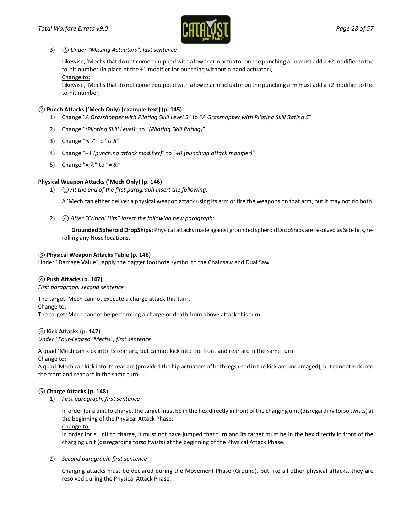

3) *⑤ Under "Missing Actuators", last sentence*

Likewise, 'Mechs that do not come equipped with a lower arm actuator on the punching arm must add a +2 modifier to the to-hit number (in place of the +1 modifier for punching without a hand actuator), Change to:

Likewise, 'Mechs that do not come equipped with a lower arm actuator on the punching arm must add a +2 modifier to the to-hit number,

#### *②* **Punch Attacks ('Mech Only) [example text] (p. 145)**

- 1) Change "*A Grasshopper with Piloting Skill Level 5*" to "*A Grasshopper with Piloting Skill Rating 5*"
- 2) Change "*(Piloting Skill Level)*" to "*(Piloting Skill Rating)*"
- 3) Change "*is 7*" to "*is 8*"
- 4) Change "*–1 (punching attack modifier)*" to "*+0 (punching attack modifier)*"
- 5) Change "*= 7.*" to "*= 8.*"

### **Physical Weapon Attacks ('Mech Only) (p. 146)**

1) *② At the end of the first paragraph insert the following:*

A 'Mech can either deliver a physical weapon attack using its arm or fire the weapons on that arm, but it may not do both.

2) *④ After "Critical Hits" insert the following new paragraph:* 

**Grounded Spheroid DropShips:** Physical attacks made against grounded spheroid DropShips are resolved as Side hits, rerolling any Nose locations.

#### *⑤* **Physical Weapon Attacks Table (p. 146)**

Under "Damage Value", apply the dagger footnote symbol to the Chainsaw and Dual Saw.

#### *④* **Push Attacks (p. 147)**

*First paragraph, second sentence*

The target 'Mech cannot execute a charge attack this turn. Change to: The target 'Mech cannot be performing a charge or death from above attack this turn.

#### *④* **Kick Attacks (p. 147)**

*Under "Four-Legged 'Mechs", first sentence*

A quad 'Mech can kick into its rear arc, but cannot kick into the front and rear arc in the same turn.

Change to:

A quad 'Mech can kick into its rear arc (provided the hip actuators of both legs used in the kick are undamaged), but cannot kick into the front and rear arc in the same turn.

#### *⑤* **Charge Attacks (p. 148)**

1) *First paragraph, first sentence*

In order for a unit to charge, the target must be in the hex directly in front of the charging unit (disregarding torso twists) at the beginning of the Physical Attack Phase.

Change to:

In order for a unit to charge, it must not have jumped that turn and its target must be in the hex directly in front of the charging unit (disregarding torso twists) at the beginning of the Physical Attack Phase.

#### 2) *Second paragraph, first sentence*

Charging attacks must be declared during the Movement Phase (Ground), but like all other physical attacks, they are resolved during the Physical Attack Phase.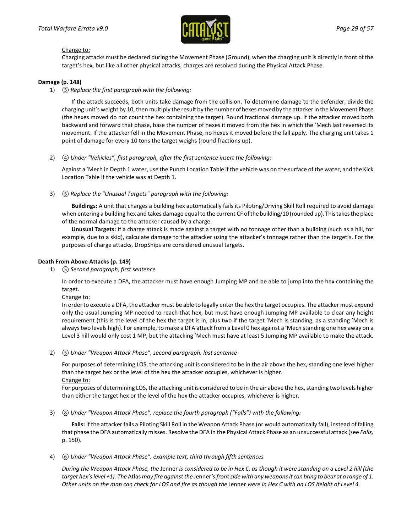

#### Change to:

Charging attacks must be declared during the Movement Phase (Ground), when the charging unit is directly in front of the target's hex, but like all other physical attacks, charges are resolved during the Physical Attack Phase.

#### **Damage (p. 148)**

1) *⑤ Replace the first paragraph with the following:*

If the attack succeeds, both units take damage from the collision. To determine damage to the defender, divide the charging unit's weight by 10, then multiply the result by the number of hexes moved by the attacker in the Movement Phase (the hexes moved do not count the hex containing the target). Round fractional damage up. If the attacker moved both backward and forward that phase, base the number of hexes it moved from the hex in which the 'Mech last reversed its movement. If the attacker fell in the Movement Phase, no hexes it moved before the fall apply. The charging unit takes 1 point of damage for every 10 tons the target weighs (round fractions up).

2) *④ Under "Vehicles", first paragraph, after the first sentence insert the following:*

Against a 'Mech in Depth 1 water, use the Punch Location Table if the vehicle was on the surface of the water, and the Kick Location Table if the vehicle was at Depth 1.

3) *⑤ Replace the "Unusual Targets" paragraph with the following:*

**Buildings:** A unit that charges a building hex automatically fails its Piloting/Driving Skill Roll required to avoid damage when entering a building hex and takes damage equal to the current CF of the building/10 (rounded up). This takes the place of the normal damage to the attacker caused by a charge.

**Unusual Targets:** If a charge attack is made against a target with no tonnage other than a building (such as a hill, for example, due to a skid), calculate damage to the attacker using the attacker's tonnage rather than the target's. For the purposes of charge attacks, DropShips are considered unusual targets.

#### **Death From Above Attacks (p. 149)**

1) *⑤ Second paragraph, first sentence*

In order to execute a DFA, the attacker must have enough Jumping MP and be able to jump into the hex containing the target.

Change to:

In order to execute a DFA, the attacker must be able to legally enter the hex the target occupies. The attacker must expend only the usual Jumping MP needed to reach that hex, but must have enough Jumping MP available to clear any height requirement (this is the level of the hex the target is in, plus two if the target 'Mech is standing, as a standing 'Mech is always two levels high). For example, to make a DFA attack from a Level 0 hex against a 'Mech standing one hex away on a Level 3 hill would only cost 1 MP, but the attacking 'Mech must have at least 5 Jumping MP available to make the attack.

2) *⑤ Under "Weapon Attack Phase", second paragraph, last sentence*

For purposes of determining LOS, the attacking unit is considered to be in the air above the hex, standing one level higher than the target hex or the level of the hex the attacker occupies, whichever is higher. Change to:

For purposes of determining LOS, the attacking unit is considered to be in the air above the hex, standing two levels higher than either the target hex or the level of the hex the attacker occupies, whichever is higher.

3) *⑧ Under "Weapon Attack Phase", replace the fourth paragraph ("Falls") with the following:* 

**Falls:** If the attacker fails a Piloting Skill Roll in the Weapon Attack Phase (or would automatically fall), instead of falling that phase the DFA automatically misses. Resolve the DFA in the Physical Attack Phase as an unsuccessful attack (see *Falls,*  p. 150).

4) *⑥ Under "Weapon Attack Phase", example text, third through fifth sentences*

*During the Weapon Attack Phase, the* Jenner *is considered to be in Hex C, as though it were standing on a Level 2 hill (the target hex's level +1). The* Atlas *may fire against the* Jenner*'s front side with any weapons it can bring to bear at a range of 1. Other units on the map can check for LOS and fire as though the* Jenner *were in Hex C with an LOS height of Level 4.*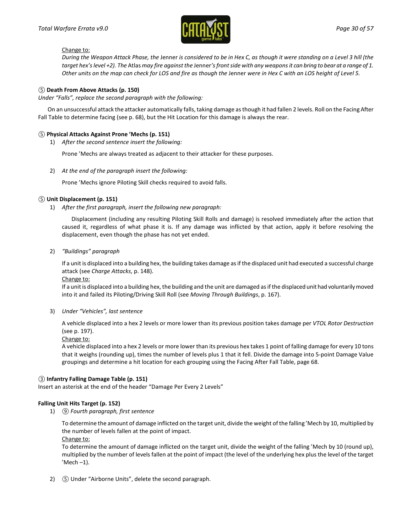

#### Change to:

*During the Weapon Attack Phase, the* Jenner *is considered to be in Hex C, as though it were standing on a Level 3 hill (the target hex's level +2). The* Atlas *may fire against the* Jenner*'s front side with any weapons it can bring to bear at a range of 1. Other units on the map can check for LOS and fire as though the Jenner were in Hex C with an LOS height of Level 5.* 

### *⑤* **Death From Above Attacks (p. 150)**

*Under "Falls", replace the second paragraph with the following:*

On an unsuccessful attack the attacker automatically falls, taking damage as though it had fallen 2 levels. Roll on the Facing After Fall Table to determine facing (see p. 68), but the Hit Location for this damage is always the rear.

#### *⑤* **Physical Attacks Against Prone 'Mechs (p. 151)**

1) *After the second sentence insert the following:*

Prone 'Mechs are always treated as adjacent to their attacker for these purposes.

2) *At the end of the paragraph insert the following:*

Prone 'Mechs ignore Piloting Skill checks required to avoid falls.

#### *⑤* **Unit Displacement (p. 151)**

1) *After the first paragraph, insert the following new paragraph:*

Displacement (including any resulting Piloting Skill Rolls and damage) is resolved immediately after the action that caused it, regardless of what phase it is. If any damage was inflicted by that action, apply it before resolving the displacement, even though the phase has not yet ended.

2) *"Buildings" paragraph*

If a unit is displaced into a building hex, the building takes damage as if the displaced unit had executed a successful charge attack (see *Charge Attacks*, p. 148).

Change to:

If a unit is displaced into a building hex, the building and the unit are damaged as if the displaced unit had voluntarily moved into it and failed its Piloting/Driving Skill Roll (see *Moving Through Buildings*, p. 167).

3) *Under "Vehicles", last sentence*

A vehicle displaced into a hex 2 levels or more lower than its previous position takes damage per *VTOL Rotor Destruction* (see p. 197).

#### Change to:

A vehicle displaced into a hex 2 levels or more lower than its previous hex takes 1 point of falling damage for every 10 tons that it weighs (rounding up), times the number of levels plus 1 that it fell. Divide the damage into 5-point Damage Value groupings and determine a hit location for each grouping using the Facing After Fall Table, page 68.

#### *③* **Infantry Falling Damage Table (p. 151)**

Insert an asterisk at the end of the header "Damage Per Every 2 Levels"

### **Falling Unit Hits Target (p. 152)**

1) *⑨ Fourth paragraph, first sentence*

To determine the amount of damage inflicted on the target unit, divide the weight of the falling 'Mech by 10, multiplied by the number of levels fallen at the point of impact.

Change to:

To determine the amount of damage inflicted on the target unit, divide the weight of the falling 'Mech by 10 (round up), multiplied by the number of levels fallen at the point of impact (the level of the underlying hex plus the level of the target  $'$ Mech  $-1$ ).

2) *⑤* Under "Airborne Units", delete the second paragraph.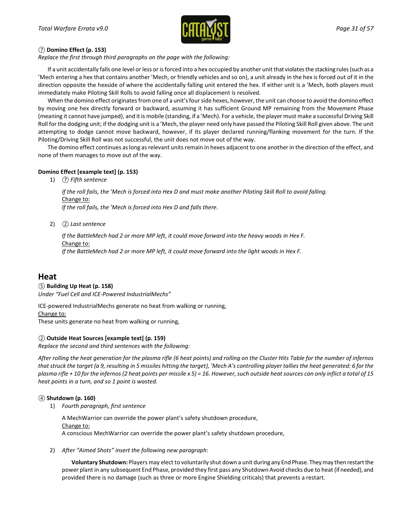

### *⑦* **Domino Effect (p. 153)**

*Replace the first through third paragraphs on the page with the following:*

If a unit accidentally falls one level or less or is forced into a hex occupied by another unit that violates the stacking rules (such as a 'Mech entering a hex that contains another 'Mech, or friendly vehicles and so on), a unit already in the hex is forced out of it in the direction opposite the hexside of where the accidentally falling unit entered the hex. If either unit is a 'Mech, both players must immediately make Piloting Skill Rolls to avoid falling once all displacement is resolved.

When the domino effect originates from one of a unit's four side hexes, however, the unit can choose to avoid the domino effect by moving one hex directly forward or backward, assuming it has sufficient Ground MP remaining from the Movement Phase (meaning it cannot have jumped), and it is mobile (standing, if a 'Mech). For a vehicle, the player must make a successful Driving Skill Roll for the dodging unit; if the dodging unit is a 'Mech, the player need only have passed the Piloting Skill Roll given above. The unit attempting to dodge cannot move backward, however, if its player declared running/flanking movement for the turn. If the Piloting/Driving Skill Roll was not successful, the unit does not move out of the way.

The domino effect continues as long as relevant units remain in hexes adjacent to one another in the direction of the effect, and none of them manages to move out of the way.

### **Domino Effect [example text] (p. 153)**

1) *⑦ Fifth sentence*

*If the roll fails, the 'Mech is forced into Hex D and must make another Piloting Skill Roll to avoid falling.* Change to: *If the roll fails, the 'Mech is forced into Hex D and falls there.*

2) *② Last sentence*

*If the BattleMech had 2 or more MP left, it could move forward into the heavy woods in Hex F.* Change to: *If the BattleMech had 2 or more MP left, it could move forward into the light woods in Hex F.*

## **Heat**

### *⑤* **Building Up Heat (p. 158)**

*Under "Fuel Cell and ICE-Powered IndustrialMechs"* 

ICE-powered IndustrialMechs generate no heat from walking or running,

Change to:

These units generate no heat from walking or running,

### *②* **Outside Heat Sources [example text] (p. 159)**

*Replace the second and third sentences with the following:*

*After rolling the heat generation for the plasma rifle (6 heat points) and rolling on the Cluster Hits Table for the number of infernos that struck the target (a 9, resulting in 5 missiles hitting the target), 'Mech A's controlling player tallies the heat generated: 6 for the plasma rifle + 10 for the infernos (2 heat points per missile x 5) = 16. However, such outside heat sources can only inflict a total of 15 heat points in a turn, and so 1 point is wasted.*

### *④* **Shutdown (p. 160)**

1) *Fourth paragraph, first sentence*

A MechWarrior can override the power plant's safety shutdown procedure, Change to: A conscious MechWarrior can override the power plant's safety shutdown procedure,

2) *After "Aimed Shots" insert the following new paragraph:* 

**Voluntary Shutdown:** Players may elect to voluntarily shut down a unit during any End Phase. They may then restart the power plant in any subsequent End Phase, provided they first pass any Shutdown Avoid checks due to heat (if needed), and provided there is no damage (such as three or more Engine Shielding criticals) that prevents a restart.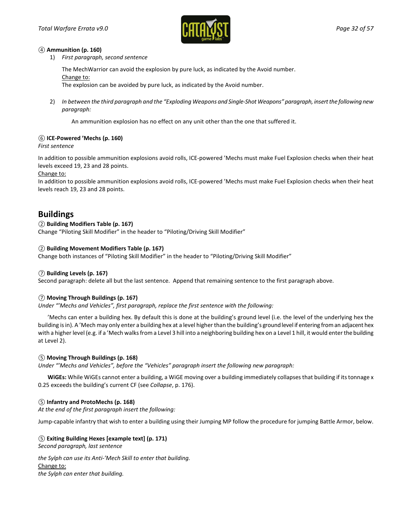

#### *④* **Ammunition (p. 160)**

1) *First paragraph, second sentence*

The MechWarrior can avoid the explosion by pure luck, as indicated by the Avoid number.

Change to:

The explosion can be avoided by pure luck, as indicated by the Avoid number.

2) *In between the third paragraph and the "Exploding Weapons and Single-Shot Weapons" paragraph, insert the following new paragraph:*

An ammunition explosion has no effect on any unit other than the one that suffered it.

### *⑥* **ICE-Powered 'Mechs (p. 160)**

### *First sentence*

In addition to possible ammunition explosions avoid rolls, ICE-powered 'Mechs must make Fuel Explosion checks when their heat levels exceed 19, 23 and 28 points.

### Change to:

In addition to possible ammunition explosions avoid rolls, ICE-powered 'Mechs must make Fuel Explosion checks when their heat levels reach 19, 23 and 28 points.

## **Buildings**

### *②* **Building Modifiers Table (p. 167)**

Change "Piloting Skill Modifier" in the header to "Piloting/Driving Skill Modifier"

### *②* **Building Movement Modifiers Table (p. 167)**

Change both instances of "Piloting Skill Modifier" in the header to "Piloting/Driving Skill Modifier"

### *⑦* **Building Levels (p. 167)**

Second paragraph: delete all but the last sentence. Append that remaining sentence to the first paragraph above.

### *⑦* **Moving Through Buildings (p. 167)**

*Under "'Mechs and Vehicles", first paragraph, replace the first sentence with the following:*

'Mechs can enter a building hex. By default this is done at the building's ground level (i.e. the level of the underlying hex the building is in). A 'Mech may only enter a building hex at a level higher than the building's ground level if entering from an adjacent hex with a higher level (e.g. if a 'Mech walks from a Level 3 hill into a neighboring building hex on a Level 1 hill, it would enter the building at Level 2).

### *⑤* **Moving Through Buildings (p. 168)**

*Under "'Mechs and Vehicles", before the "Vehicles" paragraph insert the following new paragraph:*

**WiGEs:** While WiGEs cannot enter a building, a WiGE moving over a building immediately collapses that building if its tonnage x 0.25 exceeds the building's current CF (see *Collapse*, p. 176).

### *⑤* **Infantry and ProtoMechs (p. 168)**

*At the end of the first paragraph insert the following:*

Jump-capable infantry that wish to enter a building using their Jumping MP follow the procedure for jumping Battle Armor, below.

#### *⑤* **Exiting Building Hexes [example text] (p. 171)**

*Second paragraph, last sentence*

*the Sylph can use its Anti-'Mech Skill to enter that building.* Change to: *the Sylph can enter that building.*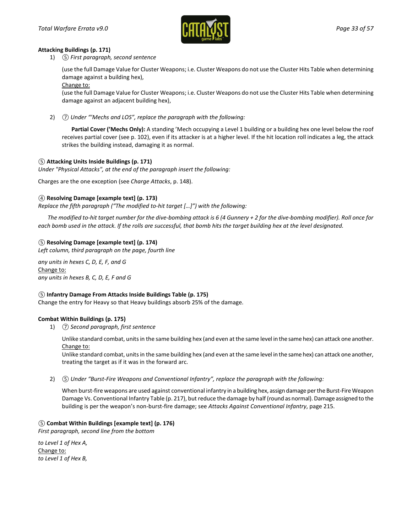

#### **Attacking Buildings (p. 171)**

1) *⑤ First paragraph, second sentence*

(use the full Damage Value for Cluster Weapons; i.e. Cluster Weapons do not use the Cluster Hits Table when determining damage against a building hex),

Change to:

(use the full Damage Value for Cluster Weapons; i.e. Cluster Weapons do not use the Cluster Hits Table when determining damage against an adjacent building hex),

2) *⑦ Under "'Mechs and LOS", replace the paragraph with the following:*

**Partial Cover ('Mechs Only):** A standing 'Mech occupying a Level 1 building or a building hex one level below the roof receives partial cover (see p. 102), even if its attacker is at a higher level. If the hit location roll indicates a leg, the attack strikes the building instead, damaging it as normal.

### *⑤* **Attacking Units Inside Buildings (p. 171)**

*Under "Physical Attacks", at the end of the paragraph insert the following:*

Charges are the one exception (see *Charge Attacks*, p. 148).

### *④* **Resolving Damage [example text] (p. 173)**

*Replace the fifth paragraph ("The modified to-hit target […]") with the following:*

*The modified to-hit target number for the dive-bombing attack is 6 (4 Gunnery + 2 for the dive-bombing modifier). Roll once for each bomb used in the attack. If the rolls are successful, that bomb hits the target building hex at the level designated.*

### *⑤* **Resolving Damage [example text] (p. 174)**

*Left column, third paragraph on the page, fourth line*

*any units in hexes C, D, E, F, and G* Change to: *any units in hexes B, C, D, E, F and G*

#### *⑤* **Infantry Damage From Attacks Inside Buildings Table (p. 175)**

Change the entry for Heavy so that Heavy buildings absorb 25% of the damage.

#### **Combat Within Buildings (p. 175)**

1) *⑦ Second paragraph, first sentence*

Unlike standard combat, units in the same building hex (and even at the same level in the same hex) can attack one another. Change to:

Unlike standard combat, units in the same building hex (and even at the same level in the same hex) can attack one another, treating the target as if it was in the forward arc.

2) *⑤ Under "Burst-Fire Weapons and Conventional Infantry", replace the paragraph with the following:*

When burst-fire weapons are used against conventional infantry in a building hex, assign damage per the Burst-Fire Weapon Damage Vs. Conventional Infantry Table (p. 217), but reduce the damage by half (round as normal). Damage assigned to the building is per the weapon's non-burst-fire damage; see *Attacks Against Conventional Infantry*, page 215.

### *⑤* **Combat Within Buildings [example text] (p. 176)**

*First paragraph, second line from the bottom*

*to Level 1 of Hex A,* Change to: *to Level 1 of Hex B,*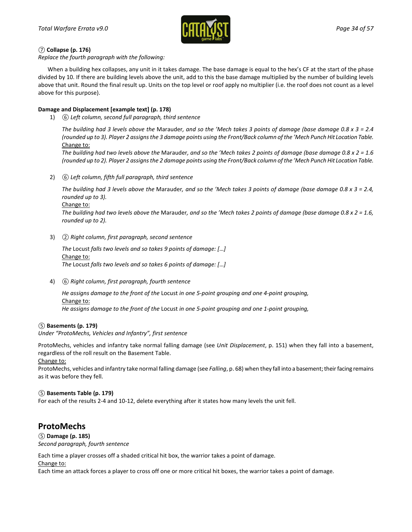

### *⑦* **Collapse (p. 176)**

*Replace the fourth paragraph with the following:*

When a building hex collapses, any unit in it takes damage. The base damage is equal to the hex's CF at the start of the phase divided by 10. If there are building levels above the unit, add to this the base damage multiplied by the number of building levels above that unit. Round the final result up. Units on the top level or roof apply no multiplier (i.e. the roof does not count as a level above for this purpose).

### **Damage and Displacement [example text] (p. 178)**

1) *⑥ Left column, second full paragraph, third sentence*

*The building had 3 levels above the* Marauder*, and so the 'Mech takes 3 points of damage (base damage 0.8 x 3 = 2.4 (rounded up to 3). Player 2 assigns the 3 damage points using the Front/Back column of the 'Mech Punch Hit Location Table.* Change to:

*The building had two levels above the* Marauder*, and so the 'Mech takes 2 points of damage (base damage 0.8 x 2 = 1.6 (rounded up to 2). Player 2 assigns the 2 damage points using the Front/Back column of the 'Mech Punch Hit Location Table.*

2) *⑥ Left column, fifth full paragraph, third sentence*

*The building had 3 levels above the* Marauder*, and so the 'Mech takes 3 points of damage (base damage 0.8 x 3 = 2.4, rounded up to 3).*

Change to:

*The building had two levels above the* Marauder*, and so the 'Mech takes 2 points of damage (base damage 0.8 x 2 = 1.6, rounded up to 2).*

3) *② Right column, first paragraph, second sentence*

*The* Locust *falls two levels and so takes 9 points of damage: [*…*]* Change to: *The* Locust *falls two levels and so takes 6 points of damage: [*…*]*

4) *⑥ Right column, first paragraph, fourth sentence*

*He assigns damage to the front of the* Locust *in one 5-point grouping and one 4-point grouping,* Change to: *He assigns damage to the front of the* Locust *in one 5-point grouping and one 1-point grouping,*

#### *⑤* **Basements (p. 179)**

*Under "ProtoMechs, Vehicles and Infantry", first sentence*

ProtoMechs, vehicles and infantry take normal falling damage (see *Unit Displacement*, p. 151) when they fall into a basement, regardless of the roll result on the Basement Table.

Change to:

ProtoMechs, vehicles and infantry take normal falling damage (see *Falling*, p. 68) when they fall into a basement; their facing remains as it was before they fell.

#### *⑤* **Basements Table (p. 179)**

For each of the results 2-4 and 10-12, delete everything after it states how many levels the unit fell.

## **ProtoMechs**

*⑤* **Damage (p. 185)**

*Second paragraph, fourth sentence*

Each time a player crosses off a shaded critical hit box, the warrior takes a point of damage.

Change to:

Each time an attack forces a player to cross off one or more critical hit boxes, the warrior takes a point of damage.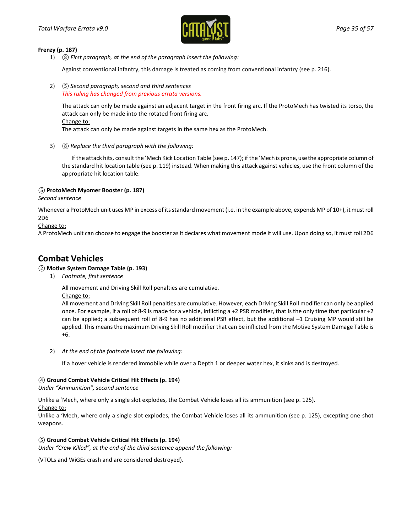

#### **Frenzy (p. 187)**

1) *⑧ First paragraph, at the end of the paragraph insert the following:*

Against conventional infantry, this damage is treated as coming from conventional infantry (see p. 216).

2) *⑤ Second paragraph, second and third sentences This ruling has changed from previous errata versions.*

The attack can only be made against an adjacent target in the front firing arc. If the ProtoMech has twisted its torso, the attack can only be made into the rotated front firing arc. Change to:

The attack can only be made against targets in the same hex as the ProtoMech.

3) *⑧ Replace the third paragraph with the following:*

If the attack hits, consult the 'Mech Kick Location Table (see p. 147); if the 'Mech is prone, use the appropriate column of the standard hit location table (see p. 119) instead. When making this attack against vehicles, use the Front column of the appropriate hit location table.

### *⑤* **ProtoMech Myomer Booster (p. 187)**

*Second sentence*

Whenever a ProtoMech unit uses MP in excess of its standard movement (i.e. in the example above, expends MP of 10+), it must roll 2D6

Change to:

A ProtoMech unit can choose to engage the booster as it declares what movement mode it will use. Upon doing so, it must roll 2D6

## **Combat Vehicles**

### *②* **Motive System Damage Table (p. 193)**

1) *Footnote, first sentence*

All movement and Driving Skill Roll penalties are cumulative.

Change to:

All movement and Driving Skill Roll penalties are cumulative. However, each Driving Skill Roll modifier can only be applied once. For example, if a roll of 8-9 is made for a vehicle, inflicting a +2 PSR modifier, that is the only time that particular +2 can be applied; a subsequent roll of 8-9 has no additional PSR effect, but the additional –1 Cruising MP would still be applied. This means the maximum Driving Skill Roll modifier that can be inflicted from the Motive System Damage Table is +6.

2) *At the end of the footnote insert the following:*

If a hover vehicle is rendered immobile while over a Depth 1 or deeper water hex, it sinks and is destroyed.

### *④* **Ground Combat Vehicle Critical Hit Effects (p. 194)**

*Under "Ammunition", second sentence*

Unlike a 'Mech, where only a single slot explodes, the Combat Vehicle loses all its ammunition (see p. 125).

Change to:

Unlike a 'Mech, where only a single slot explodes, the Combat Vehicle loses all its ammunition (see p. 125), excepting one-shot weapons.

### *⑤* **Ground Combat Vehicle Critical Hit Effects (p. 194)**

*Under "Crew Killed", at the end of the third sentence append the following:*

(VTOLs and WiGEs crash and are considered destroyed).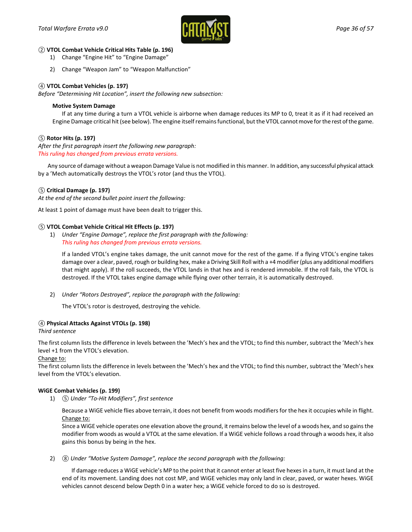

#### *②* **VTOL Combat Vehicle Critical Hits Table (p. 196)**

- 1) Change "Engine Hit" to "Engine Damage"
- 2) Change "Weapon Jam" to "Weapon Malfunction"

### *④* **VTOL Combat Vehicles (p. 197)**

*Before "Determining Hit Location", insert the following new subsection:*

#### **Motive System Damage**

If at any time during a turn a VTOL vehicle is airborne when damage reduces its MP to 0, treat it as if it had received an Engine Damage critical hit (see below). The engine itself remains functional, but the VTOL cannot move for the rest of the game.

### *⑤* **Rotor Hits (p. 197)**

*After the first paragraph insert the following new paragraph: This ruling has changed from previous errata versions.*

Any source of damage without a weapon Damage Value is not modified in this manner. In addition, any successful physical attack by a 'Mech automatically destroys the VTOL's rotor (and thus the VTOL).

#### *⑤* **Critical Damage (p. 197)**

*At the end of the second bullet point insert the following:*

At least 1 point of damage must have been dealt to trigger this.

#### *⑤* **VTOL Combat Vehicle Critical Hit Effects (p. 197)**

1) *Under "Engine Damage", replace the first paragraph with the following: This ruling has changed from previous errata versions.*

If a landed VTOL's engine takes damage, the unit cannot move for the rest of the game. If a flying VTOL's engine takes damage over a clear, paved, rough or building hex, make a Driving Skill Roll with a +4 modifier (plus any additional modifiers that might apply). If the roll succeeds, the VTOL lands in that hex and is rendered immobile. If the roll fails, the VTOL is destroyed. If the VTOL takes engine damage while flying over other terrain, it is automatically destroyed.

2) *Under "Rotors Destroyed", replace the paragraph with the following:*

The VTOL's rotor is destroyed, destroying the vehicle.

#### *④* **Physical Attacks Against VTOLs (p. 198)**

#### *Third sentence*

The first column lists the difference in levels between the 'Mech's hex and the VTOL; to find this number, subtract the 'Mech's hex level +1 from the VTOL's elevation.

#### Change to:

The first column lists the difference in levels between the 'Mech's hex and the VTOL; to find this number, subtract the 'Mech's hex level from the VTOL's elevation.

#### **WiGE Combat Vehicles (p. 199)**

1) *⑤ Under "To-Hit Modifiers", first sentence*

Because a WiGE vehicle flies above terrain, it does not benefit from woods modifiers for the hex it occupies while in flight. Change to:

Since a WiGE vehicle operates one elevation above the ground, it remains below the level of a woods hex, and so gains the modifier from woods as would a VTOL at the same elevation. If a WiGE vehicle follows a road through a woods hex, it also gains this bonus by being in the hex.

2) *⑧ Under "Motive System Damage", replace the second paragraph with the following:*

If damage reduces a WiGE vehicle's MP to the point that it cannot enter at least five hexes in a turn, it must land at the end of its movement. Landing does not cost MP, and WiGE vehicles may only land in clear, paved, or water hexes. WiGE vehicles cannot descend below Depth 0 in a water hex; a WiGE vehicle forced to do so is destroyed.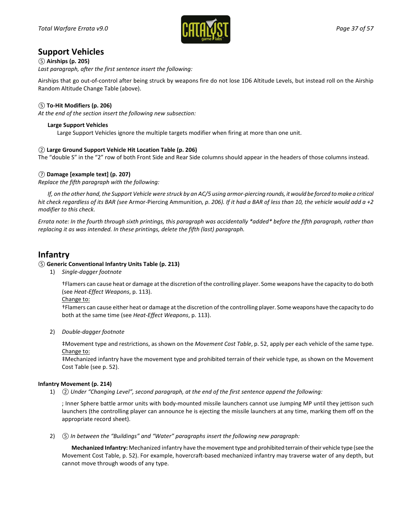

## **Support Vehicles**

### *⑤* **Airships (p. 205)**

*Last paragraph, after the first sentence insert the following:*

Airships that go out-of-control after being struck by weapons fire do not lose 1D6 Altitude Levels, but instead roll on the Airship Random Altitude Change Table (above).

### *⑤* **To-Hit Modifiers (p. 206)**

*At the end of the section insert the following new subsection:*

### **Large Support Vehicles**

Large Support Vehicles ignore the multiple targets modifier when firing at more than one unit.

### *②* **Large Ground Support Vehicle Hit Location Table (p. 206)**

The "double S" in the "2" row of both Front Side and Rear Side columns should appear in the headers of those columns instead.

### *⑦* **Damage [example text] (p. 207)**

*Replace the fifth paragraph with the following:*

*If, on the other hand, the Support Vehicle were struck by an AC/5 using armor-piercing rounds, it would be forced to make a critical hit check regardless of its BAR (see* Armor-Piercing Ammunition*, p. 206). If it had a BAR of less than 10, the vehicle would add a +2 modifier to this check.*

*Errata note: In the fourth through sixth printings, this paragraph was accidentally \*added\* before the fifth paragraph, rather than replacing it as was intended. In these printings, delete the fifth (last) paragraph.*

## **Infantry**

### *⑤* **Generic Conventional Infantry Units Table (p. 213)**

1) *Single-dagger footnote*

†Flamers can cause heat or damage at the discretion of the controlling player. Some weapons have the capacity to do both (see *Heat-Effect Weapons*, p. 113).

Change to:

†Flamers can cause either heat or damage at the discretion of the controlling player. Some weapons have the capacity to do both at the same time (see *Heat-Effect Weapons*, p. 113).

2) *Double-dagger footnote*

‡Movement type and restrictions, as shown on the *Movement Cost Table*, p. 52, apply per each vehicle of the same type. Change to:

‡Mechanized infantry have the movement type and prohibited terrain of their vehicle type, as shown on the Movement Cost Table (see p. 52).

#### **Infantry Movement (p. 214)**

1) *② Under "Changing Level", second paragraph, at the end of the first sentence append the following:*

; Inner Sphere battle armor units with body-mounted missile launchers cannot use Jumping MP until they jettison such launchers (the controlling player can announce he is ejecting the missile launchers at any time, marking them off on the appropriate record sheet).

2) *⑤ In between the "Buildings" and "Water" paragraphs insert the following new paragraph:* 

**Mechanized Infantry:** Mechanized infantry have the movement type and prohibited terrain of their vehicle type (see the Movement Cost Table, p. 52). For example, hovercraft-based mechanized infantry may traverse water of any depth, but cannot move through woods of any type.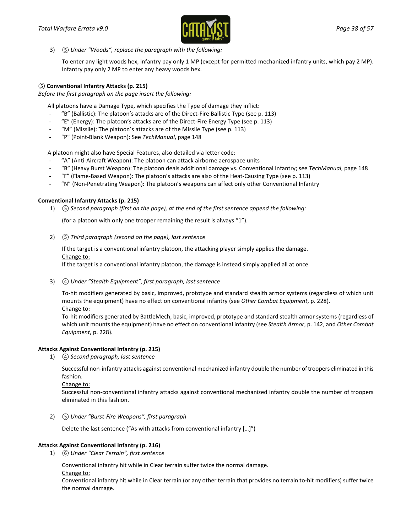

3) *⑤ Under "Woods", replace the paragraph with the following:*

To enter any light woods hex, infantry pay only 1 MP (except for permitted mechanized infantry units, which pay 2 MP). Infantry pay only 2 MP to enter any heavy woods hex.

### *⑤* **Conventional Infantry Attacks (p. 215)**

*Before the first paragraph on the page insert the following:*

All platoons have a Damage Type, which specifies the Type of damage they inflict:

- "B" (Ballistic): The platoon's attacks are of the Direct-Fire Ballistic Type (see p. 113)
- "E" (Energy): The platoon's attacks are of the Direct-Fire Energy Type (see p. 113)
- "M" (Missile): The platoon's attacks are of the Missile Type (see p. 113)
- "P" (Point-Blank Weapon): See *TechManual*, page 148

A platoon might also have Special Features, also detailed via letter code:

- "A" (Anti-Aircraft Weapon): The platoon can attack airborne aerospace units
- "B" (Heavy Burst Weapon): The platoon deals additional damage vs. Conventional Infantry; see *TechManual*, page 148
- "F" (Flame-Based Weapon): The platoon's attacks are also of the Heat-Causing Type (see p. 113)
- "N" (Non-Penetrating Weapon): The platoon's weapons can affect only other Conventional Infantry

#### **Conventional Infantry Attacks (p. 215)**

1) *⑤ Second paragraph (first on the page), at the end of the first sentence append the following:*

(for a platoon with only one trooper remaining the result is always "1").

2) *⑤ Third paragraph (second on the page), last sentence*

If the target is a conventional infantry platoon, the attacking player simply applies the damage. Change to:

If the target is a conventional infantry platoon, the damage is instead simply applied all at once.

3) *④ Under "Stealth Equipment", first paragraph, last sentence*

To-hit modifiers generated by basic, improved, prototype and standard stealth armor systems (regardless of which unit mounts the equipment) have no effect on conventional infantry (see *Other Combat Equipment*, p. 228). Change to:

To-hit modifiers generated by BattleMech, basic, improved, prototype and standard stealth armor systems (regardless of which unit mounts the equipment) have no effect on conventional infantry (see *Stealth Armor*, p. 142, and *Other Combat Equipment*, p. 228).

#### **Attacks Against Conventional Infantry (p. 215)**

1) *④ Second paragraph, last sentence*

Successful non-infantry attacks against conventional mechanized infantry double the number of troopers eliminated in this fashion.

Change to:

Successful non-conventional infantry attacks against conventional mechanized infantry double the number of troopers eliminated in this fashion.

2) *⑤ Under "Burst-Fire Weapons", first paragraph*

Delete the last sentence ("As with attacks from conventional infantry […]")

#### **Attacks Against Conventional Infantry (p. 216)**

1) *⑥ Under "Clear Terrain", first sentence*

Conventional infantry hit while in Clear terrain suffer twice the normal damage.

Change to:

Conventional infantry hit while in Clear terrain (or any other terrain that provides no terrain to-hit modifiers) suffer twice the normal damage.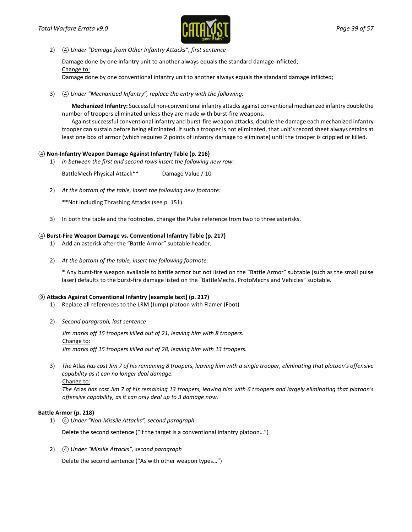

2) *④ Under "Damage from Other Infantry Attacks", first sentence*

Damage done by one infantry unit to another always equals the standard damage inflicted; Change to:

Damage done by one conventional infantry unit to another always equals the standard damage inflicted;

3) *④ Under "Mechanized Infantry", replace the entry with the following:*

**Mechanized Infantry:** Successful non-conventional infantry attacks against conventional mechanized infantry double the number of troopers eliminated unless they are made with burst-fire weapons.

Against successful conventional infantry and burst-fire weapon attacks, double the damage each mechanized infantry trooper can sustain before being eliminated. If such a trooper is not eliminated, that unit's record sheet always retains at least one box of armor (which requires 2 points of infantry damage to eliminate) until the trooper is crippled or killed.

### *④* **Non-Infantry Weapon Damage Against Infantry Table (p. 216)**

1) *In between the first and second rows insert the following new row:*

BattleMech Physical Attack\*\* Damage Value / 10

2) *At the bottom of the table, insert the following new footnote:*

\*\*Not including Thrashing Attacks (see p. 151).

3) In both the table and the footnotes, change the Pulse reference from two to three asterisks.

#### *④* **Burst-Fire Weapon Damage vs. Conventional Infantry Table (p. 217)**

- 1) Add an asterisk after the "Battle Armor" subtable header.
- 2) *At the bottom of the table, insert the following footnote:*

\* Any burst-fire weapon available to battle armor but not listed on the "Battle Armor" subtable (such as the small pulse laser) defaults to the burst-fire damage listed on the "BattleMechs, ProtoMechs and Vehicles" subtable.

### *⑨* **Attacks Against Conventional Infantry [example text] (p. 217)**

- 1) Replace all references to the LRM (Jump) platoon with Flamer (Foot)
- 2) *Second paragraph, last sentence*

*Jim marks off 15 troopers killed out of 21, leaving him with 8 troopers.* Change to: *Jim marks off 15 troopers killed out of 28, leaving him with 13 troopers.*

3) *The* Atlas *has cost Jim 7 of his remaining 8 troopers, leaving him with a single trooper, eliminating that platoon's offensive capability as it can no longer deal damage.* Change to:

*The* Atlas *has cost Jim 7 of his remaining 13 troopers, leaving him with 6 troopers and largely eliminating that platoon's offensive capability, as it can only deal up to 3 damage now.*

#### **Battle Armor (p. 218)**

1) *④ Under "Non-Missile Attacks", second paragraph*

Delete the second sentence ("If the target is a conventional infantry platoon…")

2) *④ Under "Missile Attacks", second paragraph*

Delete the second sentence ("As with other weapon types…")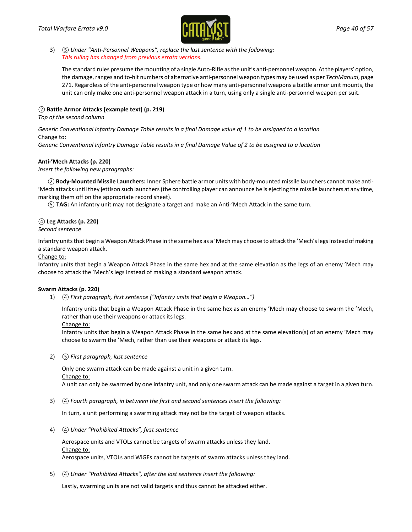

3) *⑤ Under "Anti-Personnel Weapons", replace the last sentence with the following: This ruling has changed from previous errata versions.*

The standard rules presume the mounting of a single Auto-Rifle as the unit's anti-personnel weapon. At the players' option, the damage, ranges and to-hit numbers of alternative anti-personnel weapon types may be used as per *TechManual*, page 271. Regardless of the anti-personnel weapon type or how many anti-personnel weapons a battle armor unit mounts, the unit can only make one anti-personnel weapon attack in a turn, using only a single anti-personnel weapon per suit.

### *②* **Battle Armor Attacks [example text] (p. 219)**

*Top of the second column*

#### *Generic Conventional Infantry Damage Table results in a final Damage value of 1 to be assigned to a location* Change to:

*Generic Conventional Infantry Damage Table results in a final Damage Value of 2 to be assigned to a location*

#### **Anti-'Mech Attacks (p. 220)**

*Insert the following new paragraphs:*

*②***Body-Mounted Missile Launchers:** Inner Sphere battle armor units with body-mounted missile launchers cannot make anti- 'Mech attacks until they jettison such launchers (the controlling player can announce he is ejecting the missile launchers at any time, marking them off on the appropriate record sheet).

*⑤* **TAG:** An infantry unit may not designate a target and make an Anti-'Mech Attack in the same turn.

### *④* **Leg Attacks (p. 220)**

*Second sentence*

Infantry units that begin a Weapon Attack Phase in the same hex as a 'Mech may choose to attack the 'Mech's legs instead of making a standard weapon attack.

#### Change to:

Infantry units that begin a Weapon Attack Phase in the same hex and at the same elevation as the legs of an enemy 'Mech may choose to attack the 'Mech's legs instead of making a standard weapon attack.

#### **Swarm Attacks (p. 220)**

1) *④ First paragraph, first sentence ("Infantry units that begin a Weapon…")*

Infantry units that begin a Weapon Attack Phase in the same hex as an enemy 'Mech may choose to swarm the 'Mech, rather than use their weapons or attack its legs.

Change to:

Infantry units that begin a Weapon Attack Phase in the same hex and at the same elevation(s) of an enemy 'Mech may choose to swarm the 'Mech, rather than use their weapons or attack its legs.

2) *⑤ First paragraph, last sentence*

Only one swarm attack can be made against a unit in a given turn. Change to:

A unit can only be swarmed by one infantry unit, and only one swarm attack can be made against a target in a given turn.

3) *④ Fourth paragraph, in between the first and second sentences insert the following:*

In turn, a unit performing a swarming attack may not be the target of weapon attacks.

4) *④ Under "Prohibited Attacks", first sentence*

Aerospace units and VTOLs cannot be targets of swarm attacks unless they land. Change to: Aerospace units, VTOLs and WiGEs cannot be targets of swarm attacks unless they land.

5) *④ Under "Prohibited Attacks", after the last sentence insert the following:*

Lastly, swarming units are not valid targets and thus cannot be attacked either.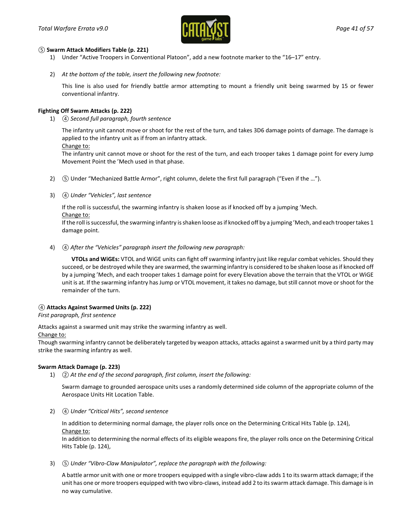

#### *⑤* **Swarm Attack Modifiers Table (p. 221)**

- 1) Under "Active Troopers in Conventional Platoon", add a new footnote marker to the "16–17" entry.
- 2) *At the bottom of the table, insert the following new footnote:*

This line is also used for friendly battle armor attempting to mount a friendly unit being swarmed by 15 or fewer conventional infantry.

### **Fighting Off Swarm Attacks (p. 222)**

1) *④ Second full paragraph, fourth sentence*

The infantry unit cannot move or shoot for the rest of the turn, and takes 3D6 damage points of damage. The damage is applied to the infantry unit as if from an infantry attack.

Change to:

The infantry unit cannot move or shoot for the rest of the turn, and each trooper takes 1 damage point for every Jump Movement Point the 'Mech used in that phase.

- 2) *⑤* Under "Mechanized Battle Armor", right column, delete the first full paragraph ("Even if the …").
- 3) *④ Under "Vehicles", last sentence*

If the roll is successful, the swarming infantry is shaken loose as if knocked off by a jumping 'Mech.

Change to:

If the roll is successful, the swarming infantry is shaken loose as if knocked off by a jumping 'Mech, and each trooper takes 1 damage point.

4) *④ After the "Vehicles" paragraph insert the following new paragraph:* 

**VTOLs and WiGEs:** VTOL and WiGE units can fight off swarming infantry just like regular combat vehicles. Should they succeed, or be destroyed while they are swarmed, the swarming infantry is considered to be shaken loose as if knocked off by a jumping 'Mech, and each trooper takes 1 damage point for every Elevation above the terrain that the VTOL or WiGE unit is at. If the swarming infantry has Jump or VTOL movement, it takes no damage, but still cannot move or shoot for the remainder of the turn.

### *④* **Attacks Against Swarmed Units (p. 222)**

*First paragraph, first sentence*

Attacks against a swarmed unit may strike the swarming infantry as well.

#### Change to:

Though swarming infantry cannot be deliberately targeted by weapon attacks, attacks against a swarmed unit by a third party may strike the swarming infantry as well.

#### **Swarm Attack Damage (p. 223)**

1) *② At the end of the second paragraph, first column, insert the following:*

Swarm damage to grounded aerospace units uses a randomly determined side column of the appropriate column of the Aerospace Units Hit Location Table.

2) *④ Under "Critical Hits", second sentence*

In addition to determining normal damage, the player rolls once on the Determining Critical Hits Table (p. 124), Change to:

In addition to determining the normal effects of its eligible weapons fire, the player rolls once on the Determining Critical Hits Table (p. 124),

3) *⑤ Under "Vibro-Claw Manipulator", replace the paragraph with the following:*

A battle armor unit with one or more troopers equipped with a single vibro-claw adds 1 to its swarm attack damage; if the unit has one or more troopers equipped with two vibro-claws, instead add 2 to its swarm attack damage. This damage is in no way cumulative.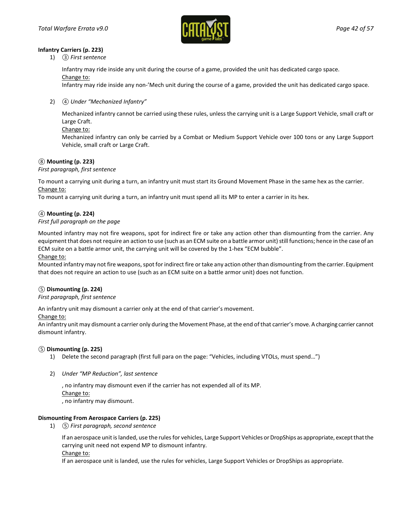

#### **Infantry Carriers (p. 223)**

1) *③ First sentence*

Infantry may ride inside any unit during the course of a game, provided the unit has dedicated cargo space. Change to:

Infantry may ride inside any non-'Mech unit during the course of a game, provided the unit has dedicated cargo space.

2) *④ Under "Mechanized Infantry"*

Mechanized infantry cannot be carried using these rules, unless the carrying unit is a Large Support Vehicle, small craft or Large Craft.

Change to:

Mechanized infantry can only be carried by a Combat or Medium Support Vehicle over 100 tons or any Large Support Vehicle, small craft or Large Craft.

### *⑧* **Mounting (p. 223)**

*First paragraph, first sentence*

To mount a carrying unit during a turn, an infantry unit must start its Ground Movement Phase in the same hex as the carrier. Change to:

To mount a carrying unit during a turn, an infantry unit must spend all its MP to enter a carrier in its hex.

### *④* **Mounting (p. 224)**

### *First full paragraph on the page*

Mounted infantry may not fire weapons, spot for indirect fire or take any action other than dismounting from the carrier. Any equipment that does not require an action to use (such as an ECM suite on a battle armor unit) still functions; hence in the case of an ECM suite on a battle armor unit, the carrying unit will be covered by the 1-hex "ECM bubble".

#### Change to:

Mounted infantry may not fire weapons, spot for indirect fire or take any action other than dismounting from the carrier. Equipment that does not require an action to use (such as an ECM suite on a battle armor unit) does not function.

### *⑤* **Dismounting (p. 224)**

#### *First paragraph, first sentence*

An infantry unit may dismount a carrier only at the end of that carrier's movement.

#### Change to:

An infantry unit may dismount a carrier only during the Movement Phase, at the end of that carrier's move. A charging carrier cannot dismount infantry.

#### *⑤* **Dismounting (p. 225)**

- 1) Delete the second paragraph (first full para on the page: "Vehicles, including VTOLs, must spend…")
- 2) *Under "MP Reduction", last sentence*

, no infantry may dismount even if the carrier has not expended all of its MP. Change to: , no infantry may dismount.

#### **Dismounting From Aerospace Carriers (p. 225)**

1) *⑤ First paragraph, second sentence*

If an aerospace unit is landed, use the rules for vehicles, Large Support Vehicles or DropShips as appropriate, except that the carrying unit need not expend MP to dismount infantry.

#### Change to:

If an aerospace unit is landed, use the rules for vehicles, Large Support Vehicles or DropShips as appropriate.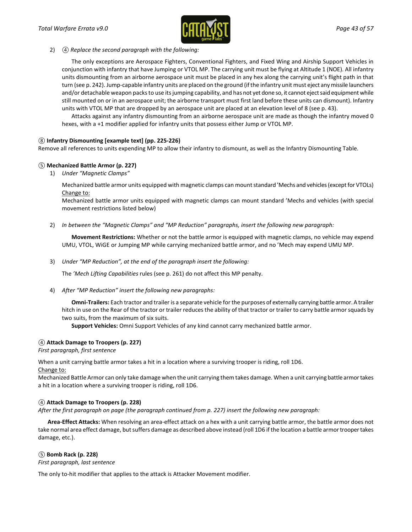

#### 2) *④ Replace the second paragraph with the following:*

The only exceptions are Aerospace Fighters, Conventional Fighters, and Fixed Wing and Airship Support Vehicles in conjunction with infantry that have Jumping or VTOL MP. The carrying unit must be flying at Altitude 1 (NOE). All infantry units dismounting from an airborne aerospace unit must be placed in any hex along the carrying unit's flight path in that turn (see p. 242). Jump-capable infantry units are placed on the ground (if the infantry unit must eject any missile launchers and/or detachable weapon packs to use its jumping capability, and has not yet done so, it cannot eject said equipment while still mounted on or in an aerospace unit; the airborne transport must first land before these units can dismount). Infantry units with VTOL MP that are dropped by an aerospace unit are placed at an elevation level of 8 (see p. 43).

Attacks against any infantry dismounting from an airborne aerospace unit are made as though the infantry moved 0 hexes, with a +1 modifier applied for infantry units that possess either Jump or VTOL MP.

### *⑧* **Infantry Dismounting [example text] (pp. 225-226)**

Remove all references to units expending MP to allow their infantry to dismount, as well as the Infantry Dismounting Table.

### *⑤* **Mechanized Battle Armor (p. 227)**

1) *Under "Magnetic Clamps"*

Mechanized battle armor units equipped with magnetic clamps can mount standard 'Mechs and vehicles (except for VTOLs) Change to:

Mechanized battle armor units equipped with magnetic clamps can mount standard 'Mechs and vehicles (with special movement restrictions listed below)

2) *In between the "Magnetic Clamps" and "MP Reduction" paragraphs, insert the following new paragraph:*

**Movement Restrictions:** Whether or not the battle armor is equipped with magnetic clamps, no vehicle may expend UMU, VTOL, WiGE or Jumping MP while carrying mechanized battle armor, and no 'Mech may expend UMU MP.

3) *Under "MP Reduction", at the end of the paragraph insert the following:*

The *'Mech Lifting Capabilities* rules (see p. 261) do not affect this MP penalty.

4) *After "MP Reduction" insert the following new paragraphs:* 

**Omni-Trailers:** Each tractor and trailer is a separate vehicle for the purposes of externally carrying battle armor. A trailer hitch in use on the Rear of the tractor or trailer reduces the ability of that tractor or trailer to carry battle armor squads by two suits, from the maximum of six suits.

**Support Vehicles:** Omni Support Vehicles of any kind cannot carry mechanized battle armor.

### *④* **Attack Damage to Troopers (p. 227)**

*First paragraph, first sentence*

When a unit carrying battle armor takes a hit in a location where a surviving trooper is riding, roll 1D6.

Change to:

Mechanized Battle Armor can only take damage when the unit carrying them takes damage. When a unit carrying battle armor takes a hit in a location where a surviving trooper is riding, roll 1D6.

### *④* **Attack Damage to Troopers (p. 228)**

*After the first paragraph on page (the paragraph continued from p. 227) insert the following new paragraph:* 

**Area-Effect Attacks:** When resolving an area-effect attack on a hex with a unit carrying battle armor, the battle armor does not take normal area effect damage, but suffers damage as described above instead (roll 1D6 if the location a battle armor trooper takes damage, etc.).

### *⑤* **Bomb Rack (p. 228)**

*First paragraph, last sentence*

The only to-hit modifier that applies to the attack is Attacker Movement modifier.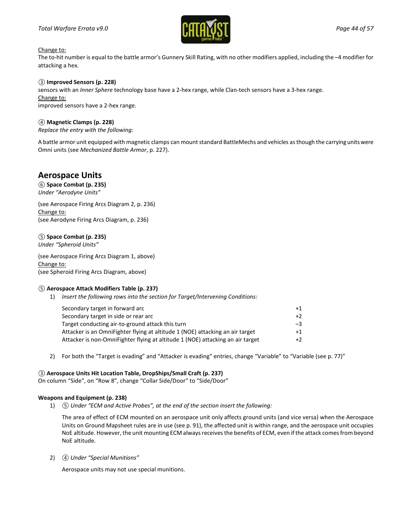### *Total Warfare Errata v9.0 Page 44 of 57*



#### Change to:

The to-hit number is equal to the battle armor's Gunnery Skill Rating, with no other modifiers applied, including the –4 modifier for attacking a hex.

#### *③* **Improved Sensors (p. 228)**

sensors with an *Inner Sphere* technology base have a 2-hex range, while Clan-tech sensors have a 3-hex range. Change to: improved sensors have a 2-hex range.

### *④* **Magnetic Clamps (p. 228)**

*Replace the entry with the following:*

A battle armor unit equipped with magnetic clamps can mount standard BattleMechs and vehicles as though the carrying units were Omni units (see *Mechanized Battle Armor*, p. 227).

## **Aerospace Units**

*⑥* **Space Combat (p. 235)** *Under "Aerodyne Units"*

(see Aerospace Firing Arcs Diagram 2, p. 236) Change to: (see Aerodyne Firing Arcs Diagram, p. 236)

### *⑤* **Space Combat (p. 235)**

*Under "Spheroid Units"*

(see Aerospace Firing Arcs Diagram 1, above) Change to: (see Spheroid Firing Arcs Diagram, above)

#### *⑤* **Aerospace Attack Modifiers Table (p. 237)**

1) *Insert the following rows into the section for Target/Intervening Conditions:*

| Secondary target in forward arc                                                | $+1$ |
|--------------------------------------------------------------------------------|------|
| Secondary target in side or rear arc                                           | $+2$ |
| Target conducting air-to-ground attack this turn                               | $-3$ |
| Attacker is an OmniFighter flying at altitude 1 (NOE) attacking an air target  | $+1$ |
| Attacker is non-OmniFighter flying at altitude 1 (NOE) attacking an air target | $+2$ |

2) For both the "Target is evading" and "Attacker is evading" entries, change "Variable" to "Variable (see p. 77)"

#### *③* **Aerospace Units Hit Location Table, DropShips/Small Craft (p. 237)**

On column "Side", on "Row 8", change "Collar Side/Door" to "Side/Door"

#### **Weapons and Equipment (p. 238)**

1) *⑤ Under "ECM and Active Probes", at the end of the section insert the following:*

The area of effect of ECM mounted on an aerospace unit only affects ground units (and vice versa) when the Aerospace Units on Ground Mapsheet rules are in use (see p. 91), the affected unit is within range, and the aerospace unit occupies NoE altitude. However, the unit mounting ECM always receives the benefits of ECM, even if the attack comes from beyond NoE altitude.

2) *④ Under "Special Munitions"*

Aerospace units may not use special munitions.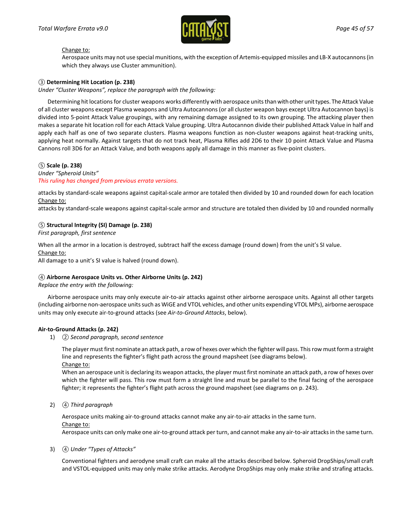

#### Change to:

Aerospace units may not use special munitions, with the exception of Artemis-equipped missiles and LB-X autocannons (in which they always use Cluster ammunition).

#### *③* **Determining Hit Location (p. 238)**

*Under "Cluster Weapons", replace the paragraph with the following:*

Determining hit locations for cluster weapons works differently with aerospace units than with other unit types. The Attack Value of all cluster weapons except Plasma weapons and Ultra Autocannons (or all cluster weapon bays except Ultra Autocannon bays) is divided into 5-point Attack Value groupings, with any remaining damage assigned to its own grouping. The attacking player then makes a separate hit location roll for each Attack Value grouping. Ultra Autocannon divide their published Attack Value in half and apply each half as one of two separate clusters. Plasma weapons function as non-cluster weapons against heat-tracking units, applying heat normally. Against targets that do not track heat, Plasma Rifles add 2D6 to their 10 point Attack Value and Plasma Cannons roll 3D6 for an Attack Value, and both weapons apply all damage in this manner as five-point clusters.

#### *⑤* **Scale (p. 238)**

*Under "Spheroid Units" This ruling has changed from previous errata versions.*

attacks by standard-scale weapons against capital-scale armor are totaled then divided by 10 and rounded down for each location Change to:

attacks by standard-scale weapons against capital-scale armor and structure are totaled then divided by 10 and rounded normally

#### *⑤* **Structural Integrity (SI) Damage (p. 238)**

*First paragraph, first sentence*

When all the armor in a location is destroyed, subtract half the excess damage (round down) from the unit's SI value.

#### Change to:

All damage to a unit's SI value is halved (round down).

#### *④* **Airborne Aerospace Units vs. Other Airborne Units (p. 242)**

*Replace the entry with the following:*

Airborne aerospace units may only execute air-to-air attacks against other airborne aerospace units. Against all other targets (including airborne non-aerospace units such as WiGE and VTOL vehicles, and other units expending VTOL MPs), airborne aerospace units may only execute air-to-ground attacks (see *Air-to-Ground Attacks*, below).

#### **Air-to-Ground Attacks (p. 242)**

1) *② Second paragraph, second sentence*

The player must first nominate an attack path, a row of hexes over which the fighter will pass. This row must form a straight line and represents the fighter's flight path across the ground mapsheet (see diagrams below). Change to:

When an aerospace unit is declaring its weapon attacks, the player must first nominate an attack path, a row of hexes over which the fighter will pass. This row must form a straight line and must be parallel to the final facing of the aerospace fighter; it represents the fighter's flight path across the ground mapsheet (see diagrams on p. 243).

2) *④ Third paragraph*

Aerospace units making air-to-ground attacks cannot make any air-to-air attacks in the same turn.

Change to:

Aerospace units can only make one air-to-ground attack per turn, and cannot make any air-to-air attacks in the same turn.

#### 3) *④ Under "Types of Attacks"*

Conventional fighters and aerodyne small craft can make all the attacks described below. Spheroid DropShips/small craft and VSTOL-equipped units may only make strike attacks. Aerodyne DropShips may only make strike and strafing attacks.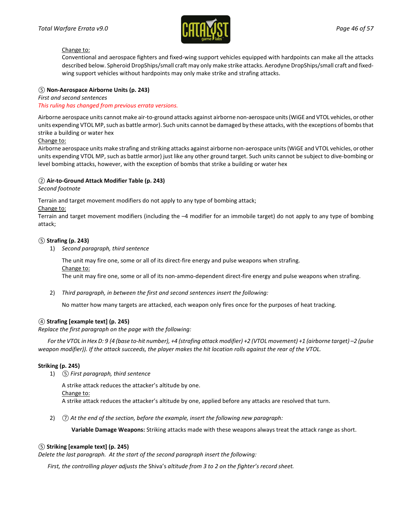

#### Change to:

Conventional and aerospace fighters and fixed-wing support vehicles equipped with hardpoints can make all the attacks described below. Spheroid DropShips/small craft may only make strike attacks. Aerodyne DropShips/small craft and fixedwing support vehicles without hardpoints may only make strike and strafing attacks.

### *⑤* **Non-Aerospace Airborne Units (p. 243)**

*First and second sentences This ruling has changed from previous errata versions.*

Airborne aerospace units cannot make air-to-ground attacks against airborne non-aerospace units (WiGE and VTOL vehicles, or other units expending VTOL MP, such as battle armor). Such units cannot be damaged by these attacks, with the exceptions of bombs that strike a building or water hex

#### Change to:

Airborne aerospace units make strafing and striking attacks against airborne non-aerospace units (WiGE and VTOL vehicles, or other units expending VTOL MP, such as battle armor) just like any other ground target. Such units cannot be subject to dive-bombing or level bombing attacks, however, with the exception of bombs that strike a building or water hex

### *②* **Air-to-Ground Attack Modifier Table (p. 243)**

*Second footnote*

Terrain and target movement modifiers do not apply to any type of bombing attack;

Change to:

Terrain and target movement modifiers (including the –4 modifier for an immobile target) do not apply to any type of bombing attack;

### *⑤* **Strafing (p. 243)**

1) *Second paragraph, third sentence*

The unit may fire one, some or all of its direct-fire energy and pulse weapons when strafing.

Change to:

The unit may fire one, some or all of its non-ammo-dependent direct-fire energy and pulse weapons when strafing.

2) *Third paragraph, in between the first and second sentences insert the following:*

No matter how many targets are attacked, each weapon only fires once for the purposes of heat tracking.

### *④* **Strafing [example text] (p. 245)**

*Replace the first paragraph on the page with the following:*

*For the VTOL in Hex D: 9 (4 (base to-hit number), +4 (strafing attack modifier) +2 (VTOL movement) +1 (airborne target) -2 (pulse weapon modifier)). If the attack succeeds, the player makes the hit location rolls against the rear of the VTOL.*

#### **Striking (p. 245)**

1) *⑤ First paragraph, third sentence*

A strike attack reduces the attacker's altitude by one. Change to: A strike attack reduces the attacker's altitude by one, applied before any attacks are resolved that turn.

2) *⑦ At the end of the section, before the example, insert the following new paragraph:*

**Variable Damage Weapons:** Striking attacks made with these weapons always treat the attack range as short.

### *⑤* **Striking [example text] (p. 245)**

*Delete the last paragraph. At the start of the second paragraph insert the following:*

*First, the controlling player adjusts the* Shiva's *altitude from 3 to 2 on the fighter's record sheet.*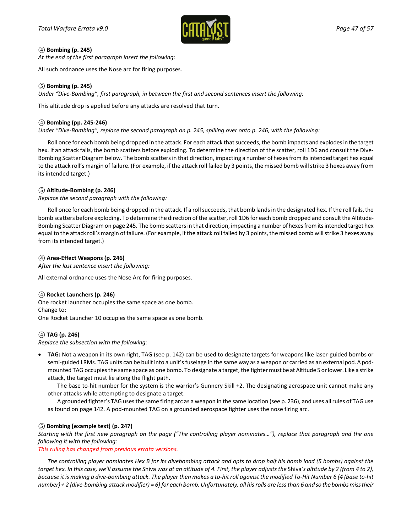

### *④* **Bombing (p. 245)**

*At the end of the first paragraph insert the following:*

All such ordnance uses the Nose arc for firing purposes.

### *⑤* **Bombing (p. 245)**

*Under "Dive-Bombing", first paragraph, in between the first and second sentences insert the following:*

This altitude drop is applied before any attacks are resolved that turn.

### *④* **Bombing (pp. 245-246)**

*Under "Dive-Bombing", replace the second paragraph on p. 245, spilling over onto p. 246, with the following:*

Roll once for each bomb being dropped in the attack. For each attack that succeeds, the bomb impacts and explodes in the target hex. If an attack fails, the bomb scatters before exploding. To determine the direction of the scatter, roll 1D6 and consult the Dive-Bombing Scatter Diagram below. The bomb scatters in that direction, impacting a number of hexes from its intended target hex equal to the attack roll's margin of failure. (For example, if the attack roll failed by 3 points, the missed bomb will strike 3 hexes away from its intended target.)

### *⑤* **Altitude-Bombing (p. 246)**

*Replace the second paragraph with the following:*

Roll once for each bomb being dropped in the attack. If a roll succeeds, that bomb lands in the designated hex. If the roll fails, the bomb scatters before exploding. To determine the direction of the scatter, roll 1D6 for each bomb dropped and consult the Altitude-Bombing Scatter Diagram on page 245. The bomb scatters in that direction, impacting a number of hexes from its intended target hex equal to the attack roll's margin of failure. (For example, if the attack roll failed by 3 points, the missed bomb will strike 3 hexes away from its intended target.)

### *④* **Area-Effect Weapons (p. 246)**

*After the last sentence insert the following:*

All external ordnance uses the Nose Arc for firing purposes.

#### *④* **Rocket Launchers (p. 246)**

One rocket launcher occupies the same space as one bomb. Change to: One Rocket Launcher 10 occupies the same space as one bomb.

### *④* **TAG (p. 246)**

*Replace the subsection with the following:*

• **TAG:** Not a weapon in its own right, TAG (see p. 142) can be used to designate targets for weapons like laser-guided bombs or semi-guided LRMs. TAG units can be built into a unit's fuselage in the same way as a weapon or carried as an external pod. A podmounted TAG occupies the same space as one bomb. To designate a target, the fighter must be at Altitude 5 or lower. Like a strike attack, the target must lie along the flight path.

The base to-hit number for the system is the warrior's Gunnery Skill +2. The designating aerospace unit cannot make any other attacks while attempting to designate a target.

A grounded fighter's TAG uses the same firing arc as a weapon in the same location (see p. 236), and uses all rules of TAG use as found on page 142. A pod-mounted TAG on a grounded aerospace fighter uses the nose firing arc.

### *⑤* **Bombing [example text] (p. 247)**

*Starting with the first new paragraph on the page ("The controlling player nominates…"), replace that paragraph and the one following it with the following:*

*This ruling has changed from previous errata versions.*

*The controlling player nominates Hex B for its divebombing attack and opts to drop half his bomb load (5 bombs) against the target hex. In this case, we'll assume the* Shiva *was at an altitude of 4. First, the player adjusts the* Shiva*'s altitude by 2 (from 4 to 2), because it is making a dive-bombing attack. The player then makes a to-hit roll against the modified To-Hit Number 6 (4 (base to-hit number) + 2 (dive-bombing attack modifier) = 6) for each bomb. Unfortunately, all his rolls are less than 6 and so the bombs miss their*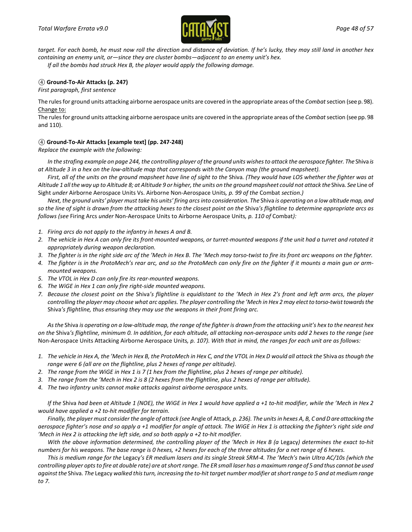

*target. For each bomb, he must now roll the direction and distance of deviation. If he's lucky, they may still land in another hex containing an enemy unit, or—since they are cluster bombs—adjacent to an enemy unit's hex.*

*If all the bombs had struck Hex B, the player would apply the following damage.*

### *④* **Ground-To-Air Attacks (p. 247)**

*First paragraph, first sentence*

The rules for ground units attacking airborne aerospace units are covered in the appropriate areas of the *Combat*section (see p. 98). Change to:

The rules for ground units attacking airborne aerospace units are covered in the appropriate areas of the *Combat*section (see pp. 98 and 110).

### *④* **Ground-To-Air Attacks [example text] (pp. 247-248)**

*Replace the example with the following:*

In the strafing example on page 244, the controlling player of the ground units wishes to attack the aerospace fighter. The Shiva is *at Altitude 3 in a hex on the low-altitude map that corresponds with the Canyon map (the ground mapsheet).*

*First, all of the units on the ground mapsheet have line of sight to the* Shiva*. (They would have LOS whether the fighter was at Altitude 1 all the way up to Altitude 8; at Altitude 9 or higher, the units on the ground mapsheet could not attack the* Shiva*. See* Line of Sight *under* Airborne Aerospace Units Vs. Airborne Non-Aerospace Units*, p. 99 of the* Combat *section.)*

*Next, the ground units' player must take his units' firing arcs into consideration. The* Shiva *is operating on a low altitude map, and so the line of sight is drawn from the attacking hexes to the closest point on the* Shiva*'s flightline to determine appropriate arcs as follows (see* Firing Arcs *under* Non-Aerospace Units to Airborne Aerospace Units*, p. 110 of* Combat*):*

- *1. Firing arcs do not apply to the infantry in hexes A and B.*
- *2. The vehicle in Hex A can only fire its front-mounted weapons, or turret-mounted weapons if the unit had a turret and rotated it appropriately during weapon declaration.*
- *3. The fighter is in the right side arc of the 'Mech in Hex B. The 'Mech may torso-twist to fire its front arc weapons on the fighter.*
- *4. The fighter is in the ProtoMech's rear arc, and so the ProtoMech can only fire on the fighter if it mounts a main gun or armmounted weapons.*
- *5. The VTOL in Hex D can only fire its rear-mounted weapons.*
- *6. The WiGE in Hex 1 can only fire right-side mounted weapons.*
- *7. Because the closest point on the* Shiva*'s flightline is equidistant to the 'Mech in Hex 2's front and left arm arcs, the player controlling the player may choose what arc applies. The player controlling the 'Mech in Hex 2 may elect to torso-twist towards the*  Shiva*'s flightline, thus ensuring they may use the weapons in their front firing arc.*

*As the* Shiva *is operating on a low-altitude map, the range of the fighter is drawn from the attacking unit's hex to the nearest hex on the* Shiva*'s flightline, minimum 0. In addition, for each altitude, all attacking non-aerospace units add 2 hexes to the range (see*  Non-Aerospace Units Attacking Airborne Aerospace Units*, p. 107). With that in mind, the ranges for each unit are as follows:*

- *1. The vehicle in Hex A, the 'Mech in Hex B, the ProtoMech in Hex C, and the VTOL in Hex D would all attack the* Shiva *as though the range were 6 (all are on the flightline, plus 2 hexes of range per altitude).*
- *2. The range from the WiGE in Hex 1 is 7 (1 hex from the flightline, plus 2 hexes of range per altitude).*
- *3. The range from the 'Mech in Hex 2 is 8 (2 hexes from the flightline, plus 2 hexes of range per altitude).*
- *4. The two infantry units cannot make attacks against airborne aerospace units.*

*If the* Shiva *had been at Altitude 1 (NOE), the WiGE in Hex 1 would have applied a +1 to-hit modifier, while the 'Mech in Hex 2 would have applied a +2 to-hit modifier for terrain.*

*Finally, the player must consider the angle of attack (see* Angle of Attack*, p. 236). The units in hexes A, B, C and D are attacking the aerospace fighter's nose and so apply a +1 modifier for angle of attack. The WiGE in Hex 1 is attacking the fighter's right side and 'Mech in Hex 2 is attacking the left side, and so both apply a +2 to-hit modifier.*

With the above information determined, the controlling player of the 'Mech in Hex B (a Legacy) determines the exact to-hit *numbers for his weapons. The base range is 0 hexes, +2 hexes for each of the three altitudes for a net range of 6 hexes.*

*This is medium range for the* Legacy*'s ER medium lasers and its single Streak SRM-4. The 'Mech's twin Ultra AC/10s (which the controlling player opts to fire at double rate) are at short range. The ER small laser has a maximum range of 5 and thus cannot be used against the* Shiva*. The* Legacy *walked this turn, increasing the to-hit target number modifier at short range to 5 and at medium range to 7.*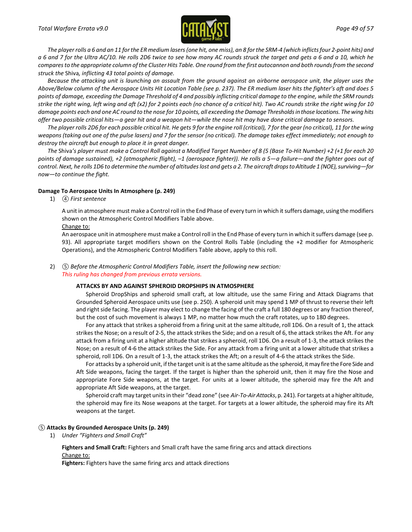

*The player rolls a 6 and an 11 for the ER medium lasers (one hit, one miss), an 8 for the SRM-4 (which inflicts four 2-point hits) and a 6 and 7 for the Ultra AC/10. He rolls 2D6 twice to see how many AC rounds struck the target and gets a 6 and a 10, which he compares to the appropriate column of the Cluster Hits Table. One round from the first autocannon and both rounds from the second struck the* Shiva*, inflicting 43 total points of damage.*

Because the attacking unit is launching an assault from the ground against an airborne aerospace unit, the player uses the *Above/Below column of the Aerospace Units Hit Location Table (see p. 237). The ER medium laser hits the fighter's aft and does 5 points of damage, exceeding the Damage Threshold of 4 and possibly inflicting critical damage to the engine, while the SRM rounds strike the right wing, left wing and aft (x2) for 2 points each (no chance of a critical hit). Two AC rounds strike the right wing for 10 damage points each and one AC round to the nose for 10 points, all exceeding the Damage Thresholds in those locations. The wing hits offer two possible critical hits—a gear hit and a weapon hit—while the nose hit may have done critical damage to sensors.*

*The player rolls 2D6 for each possible critical hit. He gets 9 for the engine roll (critical), 7 for the gear (no critical), 11 for the wing weapons (taking out one of the pulse lasers) and 7 for the sensor (no critical). The damage takes effect immediately; not enough to destroy the aircraft but enough to place it in great danger.*

*The* Shiva*'s player must make a Control Roll against a Modified Target Number of 8 (5 (Base To-Hit Number) +2 (+1 for each 20 points of damage sustained), +2 (atmospheric flight), –1 (aerospace fighter)). He rolls a 5—a failure—and the fighter goes out of control. Next, he rolls 1D6 to determine the number of altitudes lost and gets a 2. The aircraft drops to Altitude 1 (NOE), surviving—for now—to continue the fight.*

#### **Damage To Aerospace Units In Atmosphere (p. 249)**

1) *④ First sentence*

A unit in atmosphere must make a Control roll in the End Phase of every turn in which it suffers damage, using themodifiers shown on the Atmospheric Control Modifiers Table above.

Change to:

An aerospace unit in atmosphere must make a Control roll in the End Phase of every turn in which it suffers damage (see p. 93). All appropriate target modifiers shown on the Control Rolls Table (including the +2 modifier for Atmospheric Operations), and the Atmospheric Control Modifiers Table above, apply to this roll.

#### 2) *⑤ Before the Atmospheric Control Modifiers Table, insert the following new section: This ruling has changed from previous errata versions.*

#### **ATTACKS BY AND AGAINST SPHEROID DROPSHIPS IN ATMOSPHERE**

Spheroid DropShips and spheroid small craft, at low altitude, use the same Firing and Attack Diagrams that Grounded Spheroid Aerospace units use (see p. 250). A spheroid unit may spend 1 MP of thrust to reverse their left and right side facing. The player may elect to change the facing of the craft a full 180 degrees or any fraction thereof, but the cost of such movement is always 1 MP, no matter how much the craft rotates, up to 180 degrees.

For any attack that strikes a spheroid from a firing unit at the same altitude, roll 1D6. On a result of 1, the attack strikes the Nose; on a result of 2-5, the attack strikes the Side; and on a result of 6, the attack strikes the Aft. For any attack from a firing unit at a higher altitude that strikes a spheroid, roll 1D6. On a result of 1-3, the attack strikes the Nose; on a result of 4-6 the attack strikes the Side. For any attack from a firing unit at a lower altitude that strikes a spheroid, roll 1D6. On a result of 1-3, the attack strikes the Aft; on a result of 4-6 the attack strikes the Side.

For attacks by a spheroid unit, if the target unit is at the same altitude as the spheroid, it may fire the Fore Side and Aft Side weapons, facing the target. If the target is higher than the spheroid unit, then it may fire the Nose and appropriate Fore Side weapons, at the target. For units at a lower altitude, the spheroid may fire the Aft and appropriate Aft Side weapons, at the target.

Spheroid craft may target units in their "dead zone" (see *Air-To-Air Attacks*, p. 241). For targets at a higher altitude, the spheroid may fire its Nose weapons at the target. For targets at a lower altitude, the spheroid may fire its Aft weapons at the target.

#### *⑤* **Attacks By Grounded Aerospace Units (p. 249)**

1) *Under "Fighters and Small Craft"*

**Fighters and Small Craft:** Fighters and Small craft have the same firing arcs and attack directions Change to:

**Fighters:** Fighters have the same firing arcs and attack directions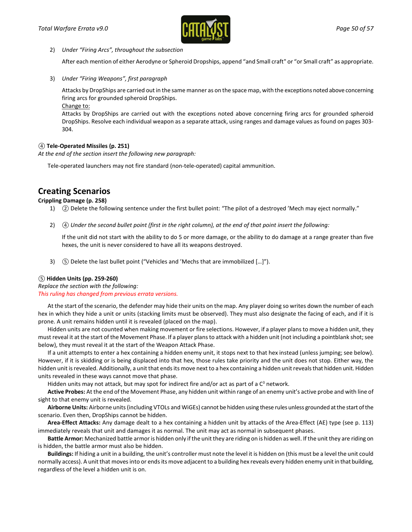

2) *Under "Firing Arcs", throughout the subsection*

After each mention of either Aerodyne or Spheroid Dropships, append "and Small craft" or "or Small craft" as appropriate.

3) *Under "Firing Weapons", first paragraph*

Attacks by DropShips are carried out in the same manner as on the space map, with the exceptions noted above concerning firing arcs for grounded spheroid DropShips.

Change to:

Attacks by DropShips are carried out with the exceptions noted above concerning firing arcs for grounded spheroid DropShips. Resolve each individual weapon as a separate attack, using ranges and damage values as found on pages 303- 304.

### *④* **Tele-Operated Missiles (p. 251)**

*At the end of the section insert the following new paragraph:*

Tele-operated launchers may not fire standard (non-tele-operated) capital ammunition.

## **Creating Scenarios**

### **Crippling Damage (p. 258)**

- 1) *②* Delete the following sentence under the first bullet point: "The pilot of a destroyed 'Mech may eject normally."
- 2) *④ Under the second bullet point (first in the right column), at the end of that point insert the following:*

If the unit did not start with the ability to do 5 or more damage, or the ability to do damage at a range greater than five hexes, the unit is never considered to have all its weapons destroyed.

3) *⑤* Delete the last bullet point ("Vehicles and 'Mechs that are immobilized […]").

### *⑤* **Hidden Units (pp. 259-260)**

*Replace the section with the following: This ruling has changed from previous errata versions.*

At the start of the scenario, the defender may hide their units on the map. Any player doing so writes down the number of each hex in which they hide a unit or units (stacking limits must be observed). They must also designate the facing of each, and if it is prone. A unit remains hidden until it is revealed (placed on the map).

Hidden units are not counted when making movement or fire selections. However, if a player plans to move a hidden unit, they must reveal it at the start of the Movement Phase. If a player plans to attack with a hidden unit (not including a pointblank shot; see below), they must reveal it at the start of the Weapon Attack Phase.

If a unit attempts to enter a hex containing a hidden enemy unit, it stops next to that hex instead (unless jumping; see below). However, if it is skidding or is being displaced into that hex, those rules take priority and the unit does not stop. Either way, the hidden unit is revealed. Additionally, a unit that ends its move next to a hex containing a hidden unit reveals that hidden unit. Hidden units revealed in these ways cannot move that phase.

Hidden units may not attack, but may spot for indirect fire and/or act as part of a  $C<sup>3</sup>$  network.

**Active Probes:** At the end of the Movement Phase, any hidden unit within range of an enemy unit's active probe and with line of sight to that enemy unit is revealed.

**Airborne Units:** Airborne units (including VTOLs and WiGEs) cannot be hidden using these rules unless grounded at the start of the scenario. Even then, DropShips cannot be hidden.

**Area-Effect Attacks:** Any damage dealt to a hex containing a hidden unit by attacks of the Area-Effect (AE) type (see p. 113) immediately reveals that unit and damages it as normal. The unit may act as normal in subsequent phases.

**Battle Armor:** Mechanized battle armor is hidden only if the unit they are riding on is hidden as well. If the unit they are riding on is hidden, the battle armor must also be hidden.

**Buildings:** If hiding a unit in a building, the unit's controller must note the level it is hidden on (this must be a level the unit could normally access). A unit that moves into or ends its move adjacent to a building hex reveals every hidden enemy unit in that building, regardless of the level a hidden unit is on.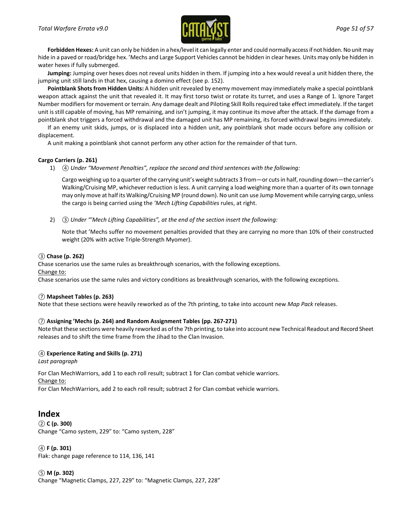

**Forbidden Hexes:** A unit can only be hidden in a hex/level it can legally enter and could normally access if not hidden. No unit may hide in a paved or road/bridge hex. 'Mechs and Large Support Vehicles cannot be hidden in clear hexes. Units may only be hidden in water hexes if fully submerged.

**Jumping:** Jumping over hexes does not reveal units hidden in them. If jumping into a hex would reveal a unit hidden there, the jumping unit still lands in that hex, causing a domino effect (see p. 152).

**Pointblank Shots from Hidden Units:** A hidden unit revealed by enemy movement may immediately make a special pointblank weapon attack against the unit that revealed it. It may first torso twist or rotate its turret, and uses a Range of 1. Ignore Target Number modifiers for movement or terrain. Any damage dealt and Piloting Skill Rolls required take effect immediately. If the target unit is still capable of moving, has MP remaining, and isn't jumping, it may continue its move after the attack. If the damage from a pointblank shot triggers a forced withdrawal and the damaged unit has MP remaining, its forced withdrawal begins immediately.

If an enemy unit skids, jumps, or is displaced into a hidden unit, any pointblank shot made occurs before any collision or displacement.

A unit making a pointblank shot cannot perform any other action for the remainder of that turn.

#### **Cargo Carriers (p. 261)**

1) *④ Under "Movement Penalties", replace the second and third sentences with the following:*

Cargo weighing up to a quarter of the carrying unit's weight subtracts 3 from—or cuts in half, rounding down—the carrier's Walking/Cruising MP, whichever reduction is less. A unit carrying a load weighing more than a quarter of its own tonnage may only move at half its Walking/Cruising MP (round down). No unit can use Jump Movement while carrying cargo, unless the cargo is being carried using the *'Mech Lifting Capabilities* rules, at right.

2) *③ Under "'Mech Lifting Capabilities", at the end of the section insert the following:*

Note that 'Mechs suffer no movement penalties provided that they are carrying no more than 10% of their constructed weight (20% with active Triple-Strength Myomer).

### *③* **Chase (p. 262)**

Chase scenarios use the same rules as breakthrough scenarios, with the following exceptions.

#### Change to:

Chase scenarios use the same rules and victory conditions as breakthrough scenarios, with the following exceptions.

#### *⑦* **Mapsheet Tables (p. 263)**

Note that these sections were heavily reworked as of the 7th printing, to take into account new *Map Pack* releases.

#### *⑦* **Assigning 'Mechs (p. 264) and Random Assignment Tables (pp. 267-271)**

Note that these sections were heavily reworked as of the 7th printing, to take into account new Technical Readout and Record Sheet releases and to shift the time frame from the Jihad to the Clan Invasion.

### *④* **Experience Rating and Skills (p. 271)**

*Last paragraph*

For Clan MechWarriors, add 1 to each roll result; subtract 1 for Clan combat vehicle warriors. Change to:

For Clan MechWarriors, add 2 to each roll result; subtract 2 for Clan combat vehicle warriors.

### **Index**

*②* **C (p. 300)** Change "Camo system, 229" to: "Camo system, 228"

*④* **F (p. 301)** Flak: change page reference to 114, 136, 141

*⑤* **M (p. 302)** Change "Magnetic Clamps, 227, 229" to: "Magnetic Clamps, 227, 228"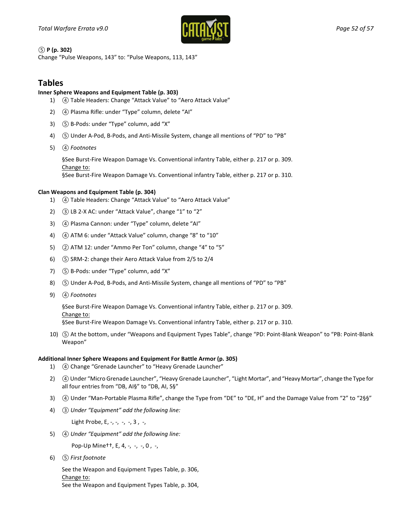

*⑤* **P (p. 302)**

Change "Pulse Weapons, 143" to: "Pulse Weapons, 113, 143"

## **Tables**

### **Inner Sphere Weapons and Equipment Table (p. 303)**

- 1) *④* Table Headers: Change "Attack Value" to "Aero Attack Value"
- 2) *④* Plasma Rifle: under "Type" column, delete "AI"
- 3) *⑤* B-Pods: under "Type" column, add "X"
- 4) *⑤* Under A-Pod, B-Pods, and Anti-Missile System, change all mentions of "PD" to "PB"
- 5) *④ Footnotes*

§See Burst-Fire Weapon Damage Vs. Conventional infantry Table, either p. 217 or p. 309. Change to:

§See Burst-Fire Weapon Damage Vs. Conventional infantry Table, either p. 217 or p. 310.

#### **Clan Weapons and Equipment Table (p. 304)**

- 1) *④* Table Headers: Change "Attack Value" to "Aero Attack Value"
- 2) *③* LB 2-X AC: under "Attack Value", change "1" to "2"
- 3) *④* Plasma Cannon: under "Type" column, delete "AI"
- 4) *④* ATM 6: under "Attack Value" column, change "8" to "10"
- 5) *②* ATM 12: under "Ammo Per Ton" column, change "4" to "5"
- 6) *⑤* SRM-2: change their Aero Attack Value from 2/5 to 2/4
- 7) *⑤* B-Pods: under "Type" column, add "X"
- 8) *⑤* Under A-Pod, B-Pods, and Anti-Missile System, change all mentions of "PD" to "PB"
- 9) *④ Footnotes*

§See Burst-Fire Weapon Damage Vs. Conventional infantry Table, either p. 217 or p. 309. Change to:

§See Burst-Fire Weapon Damage Vs. Conventional infantry Table, either p. 217 or p. 310.

10) *⑤* At the bottom, under "Weapons and Equipment Types Table", change "PD: Point-Blank Weapon" to "PB: Point-Blank Weapon"

#### **Additional Inner Sphere Weapons and Equipment For Battle Armor (p. 305)**

- 1) *④* Change "Grenade Launcher" to "Heavy Grenade Launcher"
- 2) *④*Under "Micro Grenade Launcher", "Heavy Grenade Launcher", "Light Mortar", and "Heavy Mortar", change the Type for all four entries from "DB, AI§" to "DB, AI, S§"
- 3) *④* Under "Man-Portable Plasma Rifle", change the Type from "DE" to "DE, H" and the Damage Value from "2" to "2§§"
- 4) *③ Under "Equipment" add the following line:*

Light Probe, E, -, -, -, -, 3, -,

5) *④ Under "Equipment" add the following line:*

Pop-Up Mine<sup>++</sup>, E, 4, -, -, -, 0, -,

6) *⑤ First footnote*

See the Weapon and Equipment Types Table, p. 306, Change to: See the Weapon and Equipment Types Table, p. 304,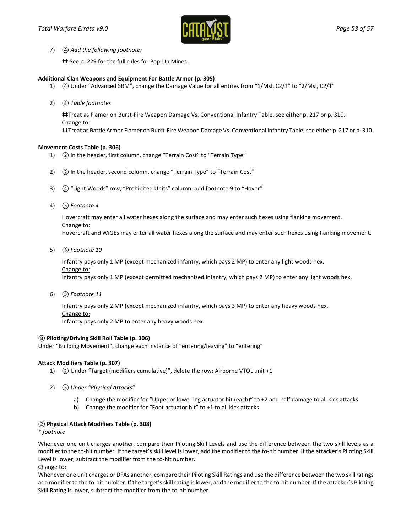

7) *④ Add the following footnote:*

†† See p. 229 for the full rules for Pop-Up Mines.

#### **Additional Clan Weapons and Equipment For Battle Armor (p. 305)**

- 1) (4) Under "Advanced SRM", change the Damage Value for all entries from "1/Msl, C2/‡" to "2/Msl, C2/‡"
- 2) *⑧ Table footnotes*

‡‡Treat as Flamer on Burst-Fire Weapon Damage Vs. Conventional Infantry Table, see either p. 217 or p. 310. Change to: ‡‡Treat as Battle Armor Flamer on Burst-Fire Weapon Damage Vs. Conventional Infantry Table, see either p. 217 or p. 310.

#### **Movement Costs Table (p. 306)**

- 1) *②* In the header, first column, change "Terrain Cost" to "Terrain Type"
- 2) *②* In the header, second column, change "Terrain Type" to "Terrain Cost"
- 3) *④* "Light Woods" row, "Prohibited Units" column: add footnote 9 to "Hover"
- 4) *⑤ Footnote 4*

Hovercraft may enter all water hexes along the surface and may enter such hexes using flanking movement.

#### Change to:

Hovercraft and WiGEs may enter all water hexes along the surface and may enter such hexes using flanking movement.

5) *⑤ Footnote 10*

Infantry pays only 1 MP (except mechanized infantry, which pays 2 MP) to enter any light woods hex. Change to: Infantry pays only 1 MP (except permitted mechanized infantry, which pays 2 MP) to enter any light woods hex.

6) *⑤ Footnote 11*

Infantry pays only 2 MP (except mechanized infantry, which pays 3 MP) to enter any heavy woods hex. Change to:

Infantry pays only 2 MP to enter any heavy woods hex.

#### *⑧* **Piloting/Driving Skill Roll Table (p. 306)**

Under "Building Movement", change each instance of "entering/leaving" to "entering"

#### **Attack Modifiers Table (p. 307)**

- 1) *②* Under "Target (modifiers cumulative)", delete the row: Airborne VTOL unit +1
- 2) *⑤ Under "Physical Attacks"*
	- a) Change the modifier for "Upper or lower leg actuator hit (each)" to +2 and half damage to all kick attacks
	- b) Change the modifier for "Foot actuator hit" to +1 to all kick attacks

#### *②* **Physical Attack Modifiers Table (p. 308)**

*\* footnote*

Whenever one unit charges another, compare their Piloting Skill Levels and use the difference between the two skill levels as a modifier to the to-hit number. If the target's skill level is lower, add the modifier to the to-hit number. If the attacker's Piloting Skill Level is lower, subtract the modifier from the to-hit number.

Change to:

Whenever one unit charges or DFAs another, compare their Piloting Skill Ratings and use the difference between the two skill ratings as a modifier to the to-hit number. If the target's skill rating is lower, add the modifier to the to-hit number. If the attacker's Piloting Skill Rating is lower, subtract the modifier from the to-hit number.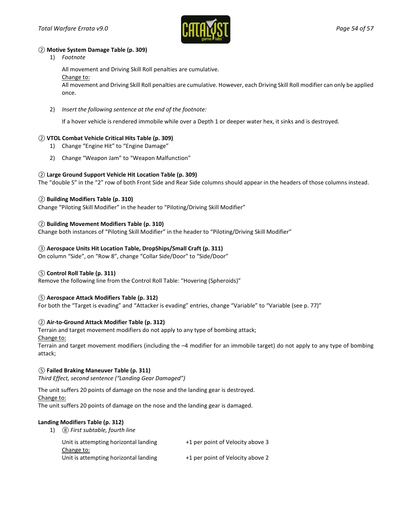

#### *②* **Motive System Damage Table (p. 309)**

1) *Footnote*

All movement and Driving Skill Roll penalties are cumulative.

#### Change to:

All movement and Driving Skill Roll penalties are cumulative. However, each Driving Skill Roll modifier can only be applied once.

2) *Insert the following sentence at the end of the footnote:*

If a hover vehicle is rendered immobile while over a Depth 1 or deeper water hex, it sinks and is destroyed.

### *②* **VTOL Combat Vehicle Critical Hits Table (p. 309)**

- 1) Change "Engine Hit" to "Engine Damage"
- 2) Change "Weapon Jam" to "Weapon Malfunction"

### *②* **Large Ground Support Vehicle Hit Location Table (p. 309)**

The "double S" in the "2" row of both Front Side and Rear Side columns should appear in the headers of those columns instead.

### *②* **Building Modifiers Table (p. 310)**

Change "Piloting Skill Modifier" in the header to "Piloting/Driving Skill Modifier"

### *②* **Building Movement Modifiers Table (p. 310)**

Change both instances of "Piloting Skill Modifier" in the header to "Piloting/Driving Skill Modifier"

### *③* **Aerospace Units Hit Location Table, DropShips/Small Craft (p. 311)**

On column "Side", on "Row 8", change "Collar Side/Door" to "Side/Door"

### *⑤* **Control Roll Table (p. 311)**

Remove the following line from the Control Roll Table: "Hovering (Spheroids)"

### *⑤* **Aerospace Attack Modifiers Table (p. 312)**

For both the "Target is evading" and "Attacker is evading" entries, change "Variable" to "Variable (see p. 77)"

### *②* **Air-to-Ground Attack Modifier Table (p. 312)**

Terrain and target movement modifiers do not apply to any type of bombing attack;

Change to:

Terrain and target movement modifiers (including the –4 modifier for an immobile target) do not apply to any type of bombing attack;

#### *⑤* **Failed Braking Maneuver Table (p. 311)**

*Third Effect, second sentence ("Landing Gear Damaged")*

The unit suffers 20 points of damage on the nose and the landing gear is destroyed.

Change to:

The unit suffers 20 points of damage on the nose and the landing gear is damaged.

### **Landing Modifiers Table (p. 312)**

| 1) | (8) First subtable, fourth line                     |                                  |
|----|-----------------------------------------------------|----------------------------------|
|    | Unit is attempting horizontal landing<br>Change to: | +1 per point of Velocity above 3 |
|    | Unit is attempting horizontal landing               | +1 per point of Velocity above 2 |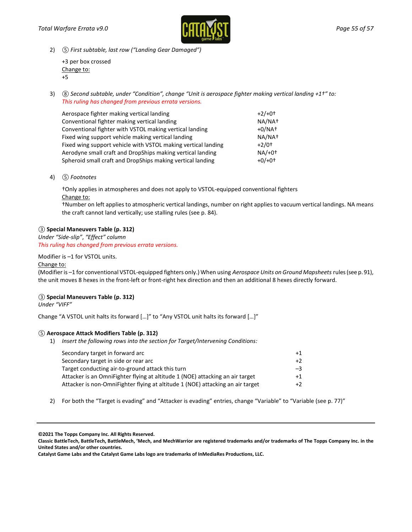

2) *⑤ First subtable, last row ("Landing Gear Damaged")*

| +3 per box crossed |
|--------------------|
| Change to:         |
| $+5$               |

3) *⑧ Second subtable, under "Condition", change "Unit is aerospace fighter making vertical landing +1†" to: This ruling has changed from previous errata versions.*

| Aerospace fighter making vertical landing                     | $+2/+0+$            |
|---------------------------------------------------------------|---------------------|
| Conventional fighter making vertical landing                  | NA/NA <sup>+</sup>  |
| Conventional fighter with VSTOL making vertical landing       | $+0/NAt$            |
| Fixed wing support vehicle making vertical landing            | NA/NA <sup>+</sup>  |
| Fixed wing support vehicle with VSTOL making vertical landing | $+2/0$ <sup>+</sup> |
| Aerodyne small craft and DropShips making vertical landing    | $NA/+0+$            |
| Spheroid small craft and DropShips making vertical landing    | $+0/+0+$            |

4) *⑤ Footnotes*

†Only applies in atmospheres and does not apply to VSTOL-equipped conventional fighters Change to:

†Number on left applies to atmospheric vertical landings, number on right applies to vacuum vertical landings. NA means the craft cannot land vertically; use stalling rules (see p. 84).

### *③* **Special Maneuvers Table (p. 312)**

*Under "Side-slip"*, *"Effect" column This ruling has changed from previous errata versions.*

Modifier is –1 for VSTOL units.

#### Change to:

(Modifier is –1 for conventional VSTOL-equipped fighters only.) When using *Aerospace Units on Ground Mapsheets* rules (see p. 91), the unit moves 8 hexes in the front-left or front-right hex direction and then an additional 8 hexes directly forward.

### *③* **Special Maneuvers Table (p. 312)**

*Under "VIFF"*

Change "A VSTOL unit halts its forward […]" to "Any VSTOL unit halts its forward […]"

#### *⑤* **Aerospace Attack Modifiers Table (p. 312)**

1) *Insert the following rows into the section for Target/Intervening Conditions:*

| Secondary target in forward arc                                                | $+1$ |
|--------------------------------------------------------------------------------|------|
| Secondary target in side or rear arc                                           | $+2$ |
| Target conducting air-to-ground attack this turn                               | $-3$ |
| Attacker is an OmniFighter flying at altitude 1 (NOE) attacking an air target  | $+1$ |
| Attacker is non-OmniFighter flying at altitude 1 (NOE) attacking an air target | $+2$ |

2) For both the "Target is evading" and "Attacker is evading" entries, change "Variable" to "Variable (see p. 77)"

**©2021 The Topps Company Inc. All Rights Reserved.**

**Catalyst Game Labs and the Catalyst Game Labs logo are trademarks of InMediaRes Productions, LLC.**

**Classic BattleTech, BattleTech, BattleMech, 'Mech, and MechWarrior are registered trademarks and/or trademarks of The Topps Company Inc. in the United States and/or other countries.**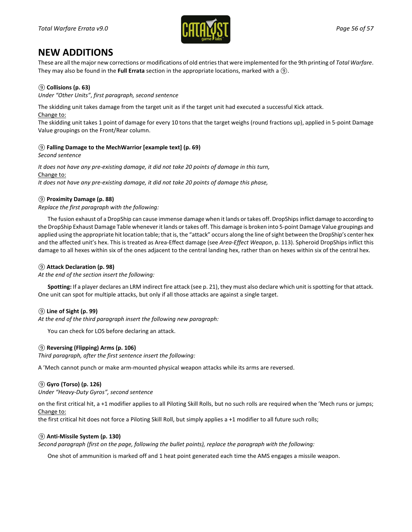

## **NEW ADDITIONS**

These are all the major new corrections or modifications of old entriesthat were implemented for the 9th printing of *Total Warfare*. They may also be found in the **Full Errata** section in the appropriate locations, marked with a *⑨*.

### *⑨* **Collisions (p. 63)**

*Under "Other Units"*, *first paragraph, second sentence*

The skidding unit takes damage from the target unit as if the target unit had executed a successful Kick attack.

Change to:

The skidding unit takes 1 point of damage for every 10 tons that the target weighs (round fractions up), applied in 5-point Damage Value groupings on the Front/Rear column.

### *⑨* **Falling Damage to the MechWarrior [example text] (p. 69)**

*Second sentence*

*It does not have any pre-existing damage, it did not take 20 points of damage in this turn,* Change to: *It does not have any pre-existing damage, it did not take 20 points of damage this phase,* 

### *⑨* **Proximity Damage (p. 88)**

*Replace the first paragraph with the following:*

The fusion exhaust of a DropShip can cause immense damage when it lands or takes off. DropShips inflict damage to according to the DropShip Exhaust Damage Table whenever it lands or takes off. This damage is broken into 5-point Damage Value groupings and applied using the appropriate hit location table; that is, the "attack" occurs along the line of sight between the DropShip's center hex and the affected unit's hex. This is treated as Area-Effect damage (see *Area-Effect Weapon*, p. 113). Spheroid DropShips inflict this damage to all hexes within six of the ones adjacent to the central landing hex, rather than on hexes within six of the central hex.

### *⑨* **Attack Declaration (p. 98)**

*At the end of the section insert the following:*

**Spotting:** If a player declares an LRM indirect fire attack (see p. 21), they must also declare which unit is spotting for that attack. One unit can spot for multiple attacks, but only if all those attacks are against a single target.

### *⑨* **Line of Sight (p. 99)**

*At the end of the third paragraph insert the following new paragraph:*

You can check for LOS before declaring an attack.

### *⑨* **Reversing (Flipping) Arms (p. 106)**

*Third paragraph, after the first sentence insert the following:*

A 'Mech cannot punch or make arm-mounted physical weapon attacks while its arms are reversed.

### *⑨* **Gyro (Torso) (p. 126)**

*Under "Heavy-Duty Gyros", second sentence*

on the first critical hit, a +1 modifier applies to all Piloting Skill Rolls, but no such rolls are required when the 'Mech runs or jumps; Change to:

the first critical hit does not force a Piloting Skill Roll, but simply applies a +1 modifier to all future such rolls;

#### *⑨* **Anti-Missile System (p. 130)**

*Second paragraph (first on the page, following the bullet points), replace the paragraph with the following:*

One shot of ammunition is marked off and 1 heat point generated each time the AMS engages a missile weapon.